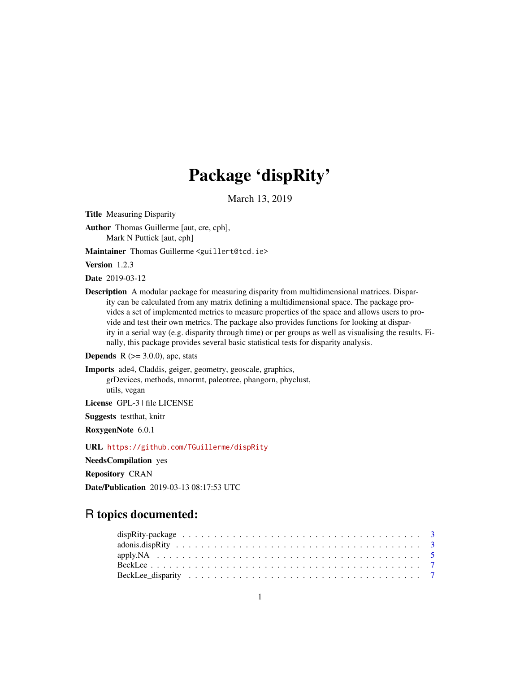# Package 'dispRity'

March 13, 2019

<span id="page-0-0"></span>Title Measuring Disparity

Author Thomas Guillerme [aut, cre, cph], Mark N Puttick [aut, cph]

Maintainer Thomas Guillerme <guillert@tcd.ie>

Version 1.2.3

Date 2019-03-12

Description A modular package for measuring disparity from multidimensional matrices. Disparity can be calculated from any matrix defining a multidimensional space. The package provides a set of implemented metrics to measure properties of the space and allows users to provide and test their own metrics. The package also provides functions for looking at disparity in a serial way (e.g. disparity through time) or per groups as well as visualising the results. Finally, this package provides several basic statistical tests for disparity analysis.

**Depends** R  $(>= 3.0.0)$ , ape, stats

Imports ade4, Claddis, geiger, geometry, geoscale, graphics, grDevices, methods, mnormt, paleotree, phangorn, phyclust, utils, vegan

License GPL-3 | file LICENSE

Suggests testthat, knitr

RoxygenNote 6.0.1

URL <https://github.com/TGuillerme/dispRity>

NeedsCompilation yes

Repository CRAN

Date/Publication 2019-03-13 08:17:53 UTC

# R topics documented: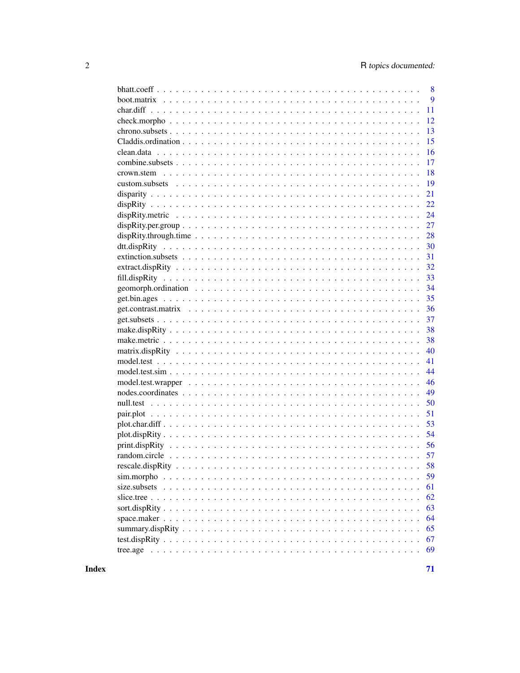|                                                                                                                                                                                                                                               | 8  |
|-----------------------------------------------------------------------------------------------------------------------------------------------------------------------------------------------------------------------------------------------|----|
|                                                                                                                                                                                                                                               | 9  |
|                                                                                                                                                                                                                                               | 11 |
|                                                                                                                                                                                                                                               | 12 |
|                                                                                                                                                                                                                                               | 13 |
|                                                                                                                                                                                                                                               | 15 |
|                                                                                                                                                                                                                                               | 16 |
|                                                                                                                                                                                                                                               | 17 |
|                                                                                                                                                                                                                                               | 18 |
|                                                                                                                                                                                                                                               | 19 |
|                                                                                                                                                                                                                                               | 21 |
|                                                                                                                                                                                                                                               | 22 |
|                                                                                                                                                                                                                                               | 24 |
| $dispRity.per.group \dots \dots \dots \dots \dots \dots \dots \dots \dots \dots \dots \dots \dots \dots \dots \dots$                                                                                                                          | 27 |
|                                                                                                                                                                                                                                               | 28 |
|                                                                                                                                                                                                                                               | 30 |
|                                                                                                                                                                                                                                               | 31 |
|                                                                                                                                                                                                                                               | 32 |
|                                                                                                                                                                                                                                               | 33 |
|                                                                                                                                                                                                                                               | 34 |
|                                                                                                                                                                                                                                               | 35 |
|                                                                                                                                                                                                                                               | 36 |
|                                                                                                                                                                                                                                               | 37 |
|                                                                                                                                                                                                                                               | 38 |
|                                                                                                                                                                                                                                               | 38 |
|                                                                                                                                                                                                                                               | 40 |
|                                                                                                                                                                                                                                               | 41 |
|                                                                                                                                                                                                                                               | 44 |
|                                                                                                                                                                                                                                               | 46 |
|                                                                                                                                                                                                                                               | 49 |
|                                                                                                                                                                                                                                               | 50 |
|                                                                                                                                                                                                                                               | 51 |
|                                                                                                                                                                                                                                               | 53 |
| $plot. dispRity$                                                                                                                                                                                                                              | 54 |
|                                                                                                                                                                                                                                               | 56 |
|                                                                                                                                                                                                                                               |    |
|                                                                                                                                                                                                                                               |    |
| sim.morpho                                                                                                                                                                                                                                    | 59 |
| size.subsets<br>and a constitution of the constitution of the constitution of the constitution of the constitution of the constitution of the constitution of the constitution of the constitution of the constitution of the constitution of | 61 |
|                                                                                                                                                                                                                                               | 62 |
|                                                                                                                                                                                                                                               | 63 |
|                                                                                                                                                                                                                                               | 64 |
|                                                                                                                                                                                                                                               | 65 |
|                                                                                                                                                                                                                                               | 67 |
|                                                                                                                                                                                                                                               | 69 |
|                                                                                                                                                                                                                                               |    |

**Index**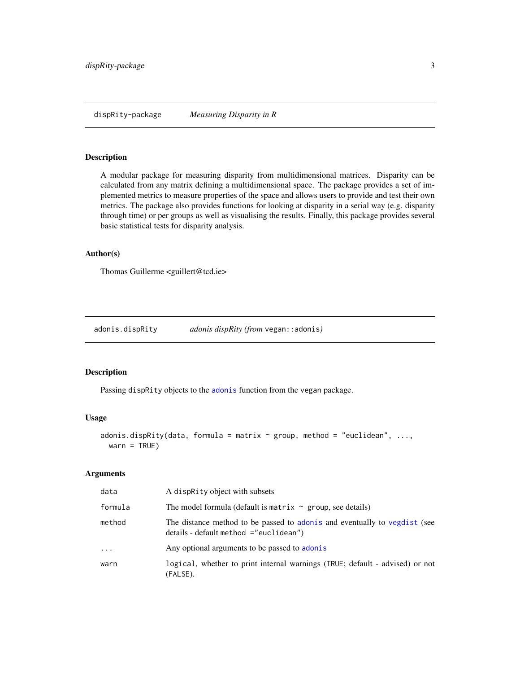<span id="page-2-0"></span>dispRity-package *Measuring Disparity in R*

#### Description

A modular package for measuring disparity from multidimensional matrices. Disparity can be calculated from any matrix defining a multidimensional space. The package provides a set of implemented metrics to measure properties of the space and allows users to provide and test their own metrics. The package also provides functions for looking at disparity in a serial way (e.g. disparity through time) or per groups as well as visualising the results. Finally, this package provides several basic statistical tests for disparity analysis.

# Author(s)

Thomas Guillerme <guillert@tcd.ie>

adonis.dispRity *adonis dispRity (from* vegan::adonis*)*

#### Description

Passing dispRity objects to the [adonis](#page-0-0) function from the vegan package.

#### Usage

```
adonis.dispRity(data, formula = matrix \sim group, method = "euclidean", ...,
 warn = TRUE)
```

| data    | A dispractly object with subsets                                                                                        |
|---------|-------------------------------------------------------------------------------------------------------------------------|
| formula | The model formula (default is matrix $\sim$ group, see details)                                                         |
| method  | The distance method to be passed to adon is and eventually to vegdist (see<br>$details - default method = "euclidean")$ |
| $\cdot$ | Any optional arguments to be passed to adonis                                                                           |
| warn    | logical, whether to print internal warnings (TRUE; default - advised) or not<br>(FALSE).                                |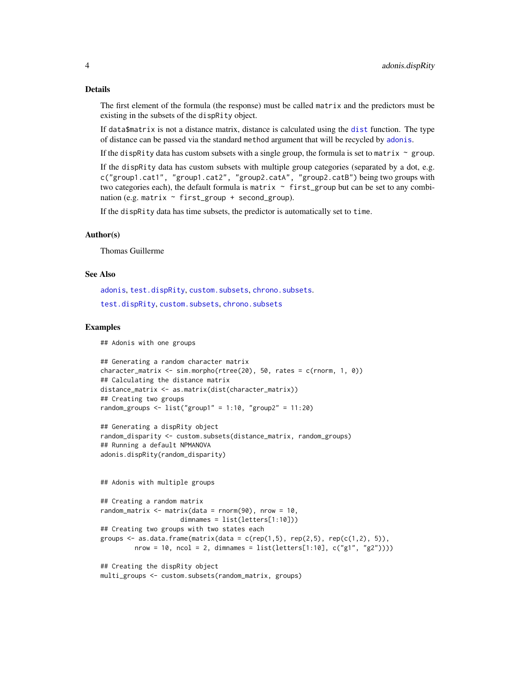The first element of the formula (the response) must be called matrix and the predictors must be existing in the subsets of the dispRity object.

If data\$matrix is not a distance matrix, distance is calculated using the [dist](#page-0-0) function. The type of distance can be passed via the standard method argument that will be recycled by [adonis](#page-0-0).

If the dispRity data has custom subsets with a single group, the formula is set to matrix  $\sim$  group.

If the dispRity data has custom subsets with multiple group categories (separated by a dot, e.g. c("group1.cat1", "group1.cat2", "group2.catA", "group2.catB") being two groups with two categories each), the default formula is matrix  $\sim$  first\_group but can be set to any combination (e.g. matrix  $\sim$  first\_group + second\_group).

If the dispRity data has time subsets, the predictor is automatically set to time.

#### Author(s)

Thomas Guillerme

#### See Also

[adonis](#page-0-0), [test.dispRity](#page-66-1), [custom.subsets](#page-18-1), [chrono.subsets](#page-12-1). [test.dispRity](#page-66-1), [custom.subsets](#page-18-1), [chrono.subsets](#page-12-1)

#### Examples

## Adonis with one groups

```
## Generating a random character matrix
character_matrix <- sim.morpho(rtree(20), 50, rates = c(rnorm, 1, 0))
## Calculating the distance matrix
distance_matrix <- as.matrix(dist(character_matrix))
## Creating two groups
random_groups \le list("group1" = 1:10, "group2" = 11:20)
```

```
## Generating a dispRity object
random_disparity <- custom.subsets(distance_matrix, random_groups)
## Running a default NPMANOVA
adonis.dispRity(random_disparity)
```
## Adonis with multiple groups

```
## Creating a random matrix
random_matrix \leq matrix(data = rnorm(90), nrow = 10,
                    dimnames = list(letters[1:10]))
## Creating two groups with two states each
groups \leq as.data.frame(matrix(data = c(rep(1,5), rep(2,5), rep(c(1,2), 5)),
        nrow = 10, ncol = 2, dimnames = list(lefters[1:10], c("g1", "g2"))))
```
## Creating the dispRity object multi\_groups <- custom.subsets(random\_matrix, groups)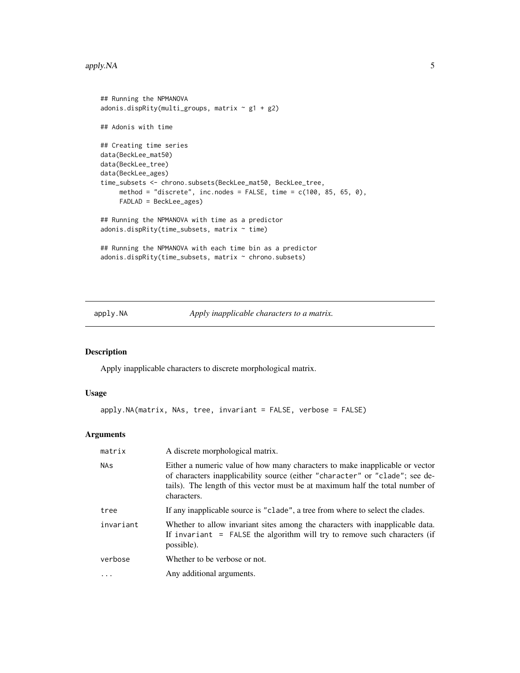#### <span id="page-4-0"></span>apply. NA 5

```
## Running the NPMANOVA
adonis.dispRity(multi_groups, matrix \sim g1 + g2)
## Adonis with time
## Creating time series
data(BeckLee_mat50)
data(BeckLee_tree)
data(BeckLee_ages)
time_subsets <- chrono.subsets(BeckLee_mat50, BeckLee_tree,
     method = "discrete", inc.nodes = FALSE, time = c(100, 85, 65, 0),
    FADLAD = BeckLee_ages)
## Running the NPMANOVA with time as a predictor
adonis.dispRity(time_subsets, matrix ~ time)
## Running the NPMANOVA with each time bin as a predictor
adonis.dispRity(time_subsets, matrix ~ chrono.subsets)
```
apply.NA *Apply inapplicable characters to a matrix.*

# Description

Apply inapplicable characters to discrete morphological matrix.

# Usage

```
apply.NA(matrix, NAs, tree, invariant = FALSE, verbose = FALSE)
```

| matrix     | A discrete morphological matrix.                                                                                                                                                                                                                             |
|------------|--------------------------------------------------------------------------------------------------------------------------------------------------------------------------------------------------------------------------------------------------------------|
| <b>NAs</b> | Either a numeric value of how many characters to make inapplicable or vector<br>of characters inapplicability source (either "character" or "clade"; see de-<br>tails). The length of this vector must be at maximum half the total number of<br>characters. |
| tree       | If any inapplicable source is "clade", a tree from where to select the clades.                                                                                                                                                                               |
| invariant  | Whether to allow invariant sites among the characters with inapplicable data.<br>If invariant = FALSE the algorithm will try to remove such characters (if<br>possible).                                                                                     |
| verbose    | Whether to be verbose or not.                                                                                                                                                                                                                                |
| $\cdots$   | Any additional arguments.                                                                                                                                                                                                                                    |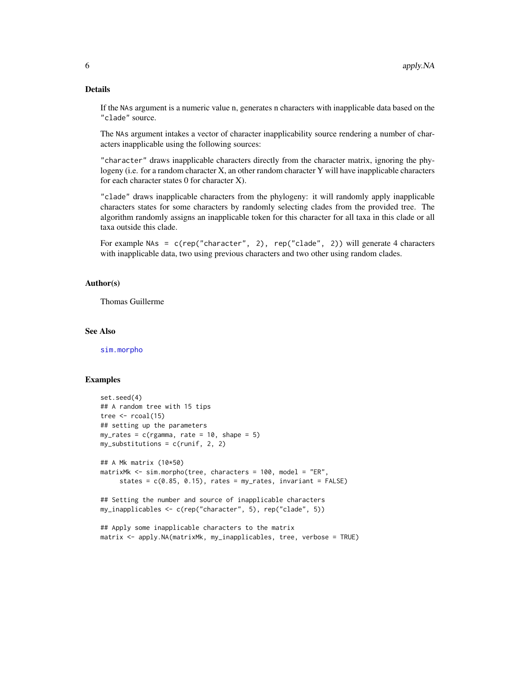If the NAs argument is a numeric value n, generates n characters with inapplicable data based on the "clade" source.

The NAs argument intakes a vector of character inapplicability source rendering a number of characters inapplicable using the following sources:

"character" draws inapplicable characters directly from the character matrix, ignoring the phylogeny (i.e. for a random character X, an other random character Y will have inapplicable characters for each character states 0 for character X).

"clade" draws inapplicable characters from the phylogeny: it will randomly apply inapplicable characters states for some characters by randomly selecting clades from the provided tree. The algorithm randomly assigns an inapplicable token for this character for all taxa in this clade or all taxa outside this clade.

For example NAs = c(rep("character", 2), rep("clade", 2)) will generate 4 characters with inapplicable data, two using previous characters and two other using random clades.

# Author(s)

Thomas Guillerme

# See Also

[sim.morpho](#page-58-1)

#### Examples

```
set.seed(4)
## A random tree with 15 tips
tree \le rcoal(15)
## setting up the parameters
my_rates = c(rgamma, rate = 10, shape = 5)
my\_substitutions = c(runif, 2, 2)## A Mk matrix (10*50)
matrixMk <- sim.morpho(tree, characters = 100, model = "ER",
     states = c(0.85, 0.15), rates = my_rates, invariant = FALSE)
## Setting the number and source of inapplicable characters
my_inapplicables <- c(rep("character", 5), rep("clade", 5))
## Apply some inapplicable characters to the matrix
matrix <- apply.NA(matrixMk, my_inapplicables, tree, verbose = TRUE)
```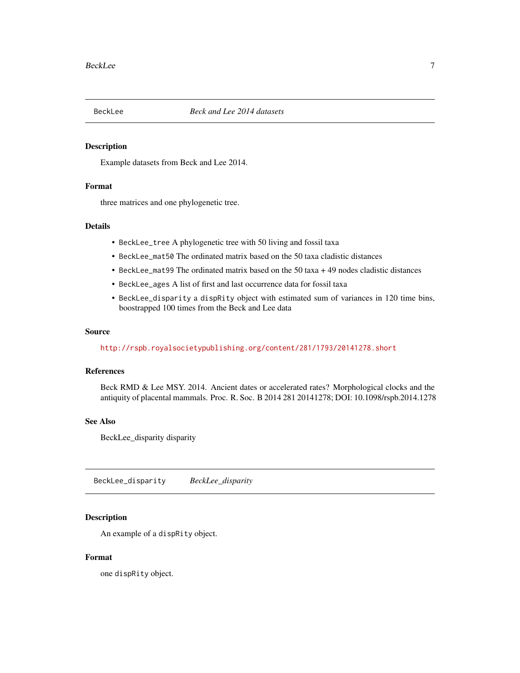<span id="page-6-1"></span><span id="page-6-0"></span>

# Description

Example datasets from Beck and Lee 2014.

# Format

three matrices and one phylogenetic tree.

# Details

- BeckLee\_tree A phylogenetic tree with 50 living and fossil taxa
- BeckLee\_mat50 The ordinated matrix based on the 50 taxa cladistic distances
- BeckLee\_mat99 The ordinated matrix based on the 50 taxa + 49 nodes cladistic distances
- BeckLee\_ages A list of first and last occurrence data for fossil taxa
- BeckLee\_disparity a dispRity object with estimated sum of variances in 120 time bins, boostrapped 100 times from the Beck and Lee data

#### Source

<http://rspb.royalsocietypublishing.org/content/281/1793/20141278.short>

#### References

Beck RMD & Lee MSY. 2014. Ancient dates or accelerated rates? Morphological clocks and the antiquity of placental mammals. Proc. R. Soc. B 2014 281 20141278; DOI: 10.1098/rspb.2014.1278

# See Also

BeckLee\_disparity disparity

BeckLee\_disparity *BeckLee\_disparity*

#### Description

An example of a dispRity object.

# Format

one dispRity object.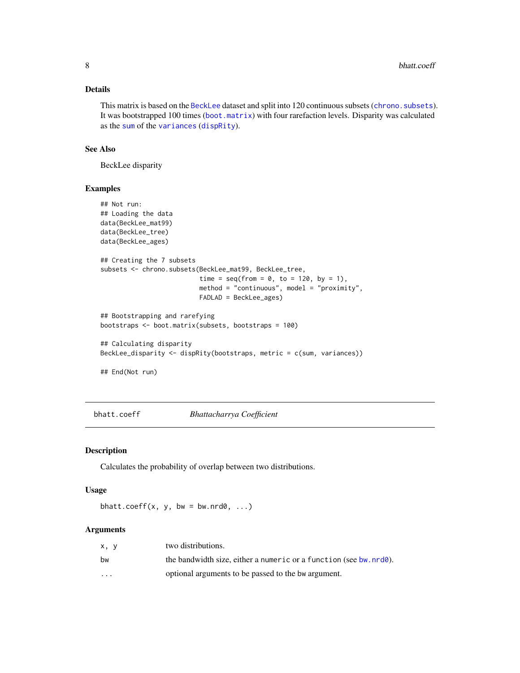<span id="page-7-0"></span>This matrix is based on the [BeckLee](#page-6-1) dataset and split into 120 continuous subsets (chrono. subsets). It was bootstrapped 100 times ([boot.matrix](#page-8-1)) with four rarefaction levels. Disparity was calculated as the [sum](#page-0-0) of the [variances](#page-23-1) ([dispRity](#page-21-1)).

# See Also

BeckLee disparity

#### Examples

```
## Not run:
## Loading the data
data(BeckLee_mat99)
data(BeckLee_tree)
data(BeckLee_ages)
## Creating the 7 subsets
subsets <- chrono.subsets(BeckLee_mat99, BeckLee_tree,
                          time = seq(from = 0, to = 120, by = 1),method = "continuous", model = "proximity",
                          FADLAD = BeckLee_ages)
## Bootstrapping and rarefying
bootstraps <- boot.matrix(subsets, bootstraps = 100)
## Calculating disparity
BeckLee_disparity <- dispRity(bootstraps, metric = c(sum, variances))
## End(Not run)
```
bhatt.coeff *Bhattacharrya Coefficient*

#### Description

Calculates the probability of overlap between two distributions.

# Usage

bhatt.coeff(x, y, bw = bw.nrd0,  $\dots$ )

| x. v     | two distributions.                                                         |
|----------|----------------------------------------------------------------------------|
| bw       | the bandwidth size, either a numeric or a function (see bw. $nrd\theta$ ). |
| $\cdots$ | optional arguments to be passed to the bw argument.                        |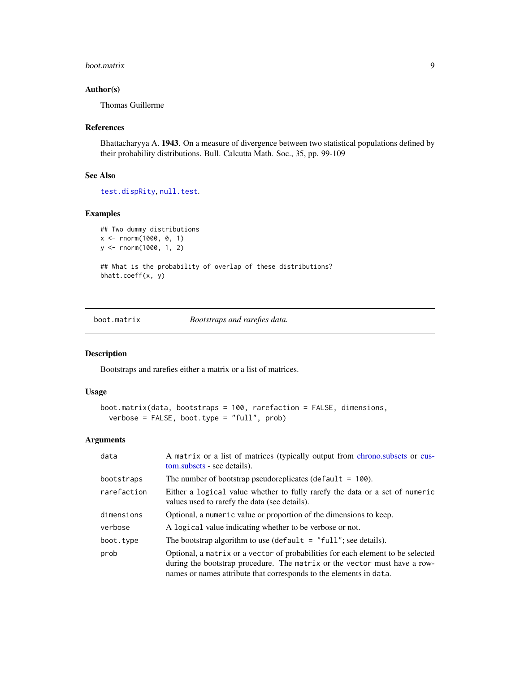#### <span id="page-8-0"></span>boot.matrix 9

# Author(s)

Thomas Guillerme

# References

Bhattacharyya A. 1943. On a measure of divergence between two statistical populations defined by their probability distributions. Bull. Calcutta Math. Soc., 35, pp. 99-109

# See Also

[test.dispRity](#page-66-1), [null.test](#page-49-1).

# Examples

```
## Two dummy distributions
x <- rnorm(1000, 0, 1)
y <- rnorm(1000, 1, 2)
```
## What is the probability of overlap of these distributions? bhatt.coeff(x, y)

<span id="page-8-1"></span>boot.matrix *Bootstraps and rarefies data.*

#### Description

Bootstraps and rarefies either a matrix or a list of matrices.

# Usage

```
boot.matrix(data, bootstraps = 100, rarefaction = FALSE, dimensions,
 verbose = FALSE, boot.type = "full", prob)
```

| data        | A matrix or a list of matrices (typically output from chrono.subsets or cus-<br>tom.subsets - see details).                                                                                                                        |
|-------------|------------------------------------------------------------------------------------------------------------------------------------------------------------------------------------------------------------------------------------|
| bootstraps  | The number of bootstrap pseudoreplicates (default $= 100$ ).                                                                                                                                                                       |
| rarefaction | Either a logical value whether to fully rarefy the data or a set of numeric<br>values used to rarefy the data (see details).                                                                                                       |
| dimensions  | Optional, a numeric value or proportion of the dimensions to keep.                                                                                                                                                                 |
| verbose     | A logical value indicating whether to be verbose or not.                                                                                                                                                                           |
| boot.type   | The bootstrap algorithm to use (default $=$ "full"; see details).                                                                                                                                                                  |
| prob        | Optional, a matrix or a vector of probabilities for each element to be selected<br>during the bootstrap procedure. The matrix or the vector must have a row-<br>names or names attribute that corresponds to the elements in data. |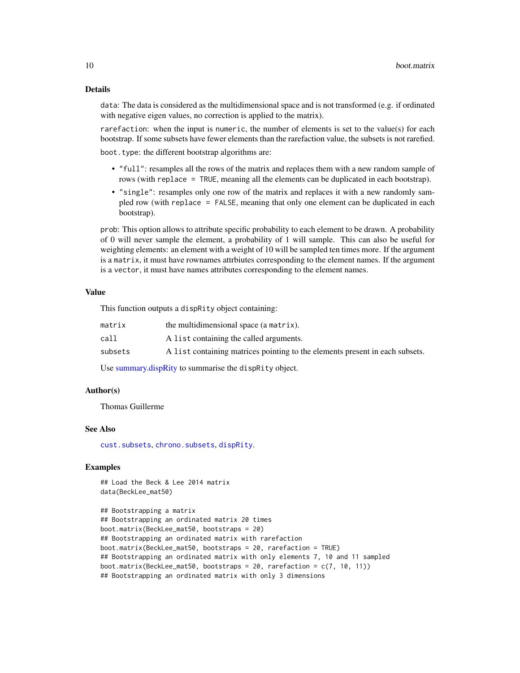data: The data is considered as the multidimensional space and is not transformed (e.g. if ordinated with negative eigen values, no correction is applied to the matrix).

rarefaction: when the input is numeric, the number of elements is set to the value(s) for each bootstrap. If some subsets have fewer elements than the rarefaction value, the subsets is not rarefied. boot.type: the different bootstrap algorithms are:

- "full": resamples all the rows of the matrix and replaces them with a new random sample of rows (with replace = TRUE, meaning all the elements can be duplicated in each bootstrap).
- "single": resamples only one row of the matrix and replaces it with a new randomly sampled row (with replace = FALSE, meaning that only one element can be duplicated in each bootstrap).

prob: This option allows to attribute specific probability to each element to be drawn. A probability of 0 will never sample the element, a probability of 1 will sample. This can also be useful for weighting elements: an element with a weight of 10 will be sampled ten times more. If the argument is a matrix, it must have rownames attrbiutes corresponding to the element names. If the argument is a vector, it must have names attributes corresponding to the element names.

# Value

This function outputs a dispRity object containing:

| matrix  | the multidimensional space (a matrix).                                       |
|---------|------------------------------------------------------------------------------|
| call    | A list containing the called arguments.                                      |
| subsets | A list containing matrices pointing to the elements present in each subsets. |

Use [summary.dispRity](#page-64-1) to summarise the dispRity object.

# Author(s)

Thomas Guillerme

#### See Also

[cust.subsets](#page-18-2), [chrono.subsets](#page-12-1), [dispRity](#page-21-1).

#### Examples

## Load the Beck & Lee 2014 matrix data(BeckLee\_mat50)

```
## Bootstrapping a matrix
## Bootstrapping an ordinated matrix 20 times
boot.matrix(BeckLee_mat50, bootstraps = 20)
## Bootstrapping an ordinated matrix with rarefaction
boot.matrix(BeckLee_mat50, bootstraps = 20, rarefaction = TRUE)
## Bootstrapping an ordinated matrix with only elements 7, 10 and 11 sampled
boot.matrix(BeckLee_mat50, bootstraps = 20, rarefaction = c(7, 10, 11))
## Bootstrapping an ordinated matrix with only 3 dimensions
```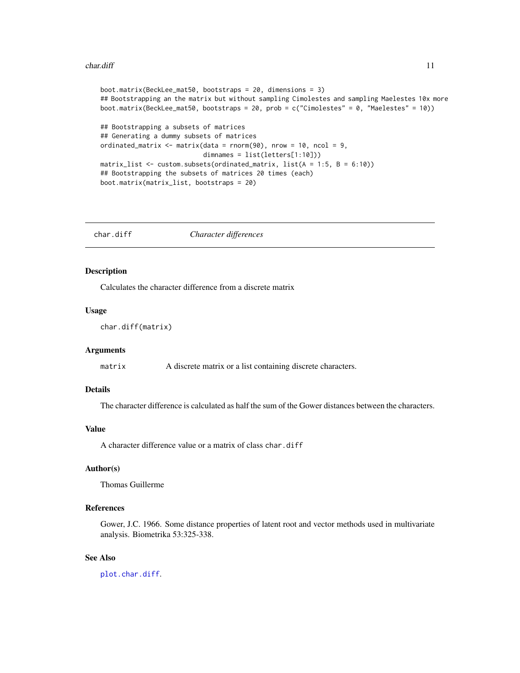#### <span id="page-10-0"></span> $char.$ diff  $\qquad \qquad$  11

```
boot.matrix(BeckLee_mat50, bootstraps = 20, dimensions = 3)
## Bootstrapping an the matrix but without sampling Cimolestes and sampling Maelestes 10x more
boot.matrix(BeckLee_mat50, bootstraps = 20, prob = c("Cimolestes" = 0, "Maelestes" = 10))
## Bootstrapping a subsets of matrices
## Generating a dummy subsets of matrices
ordinated_matrix \leq matrix(data = rnorm(90), nrow = 10, ncol = 9,
                           dimnames = list(letters[1:10]))
matrix_list \leq custom.subsets(ordinated_matrix, list(A = 1:5, B = 6:10))
## Bootstrapping the subsets of matrices 20 times (each)
boot.matrix(matrix_list, bootstraps = 20)
```
char.diff *Character differences*

# Description

Calculates the character difference from a discrete matrix

#### Usage

```
char.diff(matrix)
```
# Arguments

matrix A discrete matrix or a list containing discrete characters.

#### Details

The character difference is calculated as half the sum of the Gower distances between the characters.

# Value

A character difference value or a matrix of class char.diff

# Author(s)

Thomas Guillerme

#### References

Gower, J.C. 1966. Some distance properties of latent root and vector methods used in multivariate analysis. Biometrika 53:325-338.

# See Also

[plot.char.diff](#page-52-1).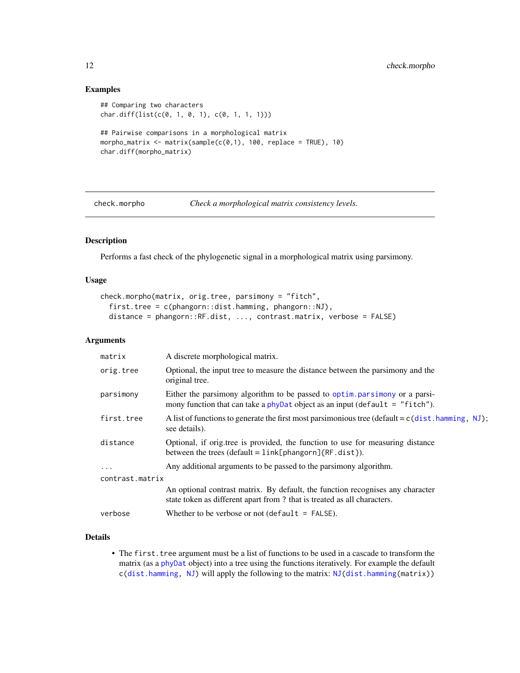# Examples

```
## Comparing two characters
char.diff(list(c(0, 1, 0, 1), c(0, 1, 1, 1)))
## Pairwise comparisons in a morphological matrix
morpho_matrix <- matrix(sample(c(0,1), 100, replace = TRUE), 10)
char.diff(morpho_matrix)
```
<span id="page-11-1"></span>check.morpho *Check a morphological matrix consistency levels.* 

# Description

Performs a fast check of the phylogenetic signal in a morphological matrix using parsimony.

# Usage

```
check.morpho(matrix, orig.tree, parsimony = "fitch",
  first.tree = c(phangorn::dist.hamming, phangorn::NJ),
  distance = phangorn::RF.dist, ..., contrast.matrix, verbose = FALSE)
```
#### Arguments

| matrix          | A discrete morphological matrix.                                                                                                                           |
|-----------------|------------------------------------------------------------------------------------------------------------------------------------------------------------|
| orig.tree       | Optional, the input tree to measure the distance between the parsimony and the<br>original tree.                                                           |
| parsimony       | Either the parsimony algorithm to be passed to optim parsimony or a parsi-<br>mony function that can take a phyDat object as an input (default = "fitch"). |
| first.tree      | A list of functions to generate the first most paramonious tree (default = $c$ (dist. hamming, NJ);<br>see details).                                       |
| distance        | Optional, if origitiee is provided, the function to use for measuring distance<br>between the trees (default = $link[phangorn]{RF.dat}$ ).                 |
| $\ddotsc$       | Any additional arguments to be passed to the parsimony algorithm.                                                                                          |
| contrast.matrix |                                                                                                                                                            |
|                 | An optional contrast matrix. By default, the function recognises any character<br>state token as different apart from? that is treated as all characters.  |
| verbose         | Whether to be verbose or not (default = $FALSE$ ).                                                                                                         |

# Details

• The first. tree argument must be a list of functions to be used in a cascade to transform the matrix (as a [phyDat](#page-0-0) object) into a tree using the functions iteratively. For example the default c[\(dist.hamming,](#page-0-0) [NJ\)](#page-0-0) will apply the following to the matrix: [NJ\(dist.hamming\(](#page-0-0)matrix))

<span id="page-11-0"></span>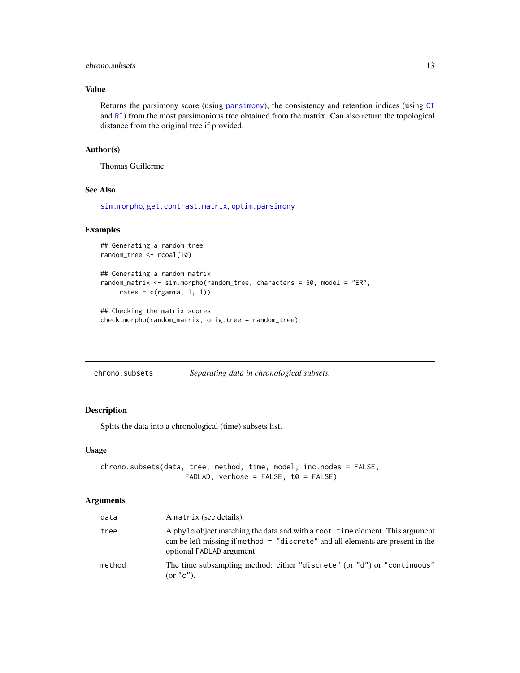# <span id="page-12-0"></span>chrono.subsets 13

# Value

Returns the parsimony score (using [parsimony](#page-0-0)), the consistency and retention indices (using [CI](#page-0-0) and [RI](#page-0-0)) from the most parsimonious tree obtained from the matrix. Can also return the topological distance from the original tree if provided.

#### Author(s)

Thomas Guillerme

#### See Also

[sim.morpho](#page-58-1), [get.contrast.matrix](#page-35-1), [optim.parsimony](#page-0-0)

# Examples

```
## Generating a random tree
random_tree <- rcoal(10)
## Generating a random matrix
random_matrix <- sim.morpho(random_tree, characters = 50, model = "ER",
    rates = c(rgamma, 1, 1))
## Checking the matrix scores
```

```
check.morpho(random_matrix, orig.tree = random_tree)
```
<span id="page-12-1"></span>

| chrono.subsets |  | Separating data in chronological subsets. |
|----------------|--|-------------------------------------------|
|----------------|--|-------------------------------------------|

#### Description

Splits the data into a chronological (time) subsets list.

#### Usage

```
chrono.subsets(data, tree, method, time, model, inc.nodes = FALSE,
                    FADLAD, verbose = FALSE, t0 = FALSE)
```

| data   | A matrix (see details).                                                                                                                                                                      |
|--------|----------------------------------------------------------------------------------------------------------------------------------------------------------------------------------------------|
| tree   | A phylo object matching the data and with a root. time element. This argument<br>can be left missing if method = "discrete" and all elements are present in the<br>optional FADLAD argument. |
| method | The time subsampling method: either "discrete" (or "d") or "continuous"<br>(or "c").                                                                                                         |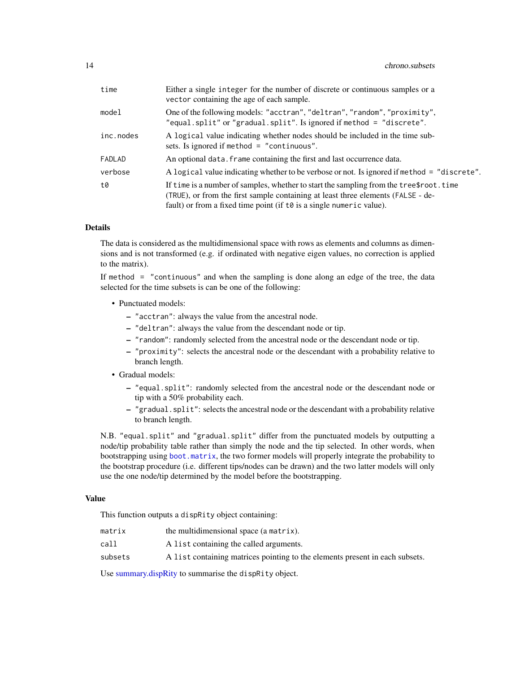| time      | Either a single integer for the number of discrete or continuous samples or a<br>vector containing the age of each sample.                                                                                                                            |
|-----------|-------------------------------------------------------------------------------------------------------------------------------------------------------------------------------------------------------------------------------------------------------|
| mode1     | One of the following models: "acctran", "deltran", "random", "proximity",<br>"equal.split" or "gradual.split". Is ignored if method = "discrete".                                                                                                     |
| inc.nodes | A logical value indicating whether nodes should be included in the time sub-<br>sets. Is ignored if method $=$ "continuous".                                                                                                                          |
| FADLAD    | An optional data. Frame containing the first and last occurrence data.                                                                                                                                                                                |
| verbose   | A logical value indicating whether to be verbose or not. Is ignored if method = "discrete".                                                                                                                                                           |
| t0        | If time is a number of samples, whether to start the sampling from the tree \$ root. time<br>(TRUE), or from the first sample containing at least three elements (FALSE - de-<br>fault) or from a fixed time point (if to is a single numeric value). |

The data is considered as the multidimensional space with rows as elements and columns as dimensions and is not transformed (e.g. if ordinated with negative eigen values, no correction is applied to the matrix).

If method = "continuous" and when the sampling is done along an edge of the tree, the data selected for the time subsets is can be one of the following:

- Punctuated models:
	- "acctran": always the value from the ancestral node.
	- "deltran": always the value from the descendant node or tip.
	- "random": randomly selected from the ancestral node or the descendant node or tip.
	- "proximity": selects the ancestral node or the descendant with a probability relative to branch length.
- Gradual models:
	- "equal.split": randomly selected from the ancestral node or the descendant node or tip with a 50% probability each.
	- "gradual.split": selects the ancestral node or the descendant with a probability relative to branch length.

N.B. "equal.split" and "gradual.split" differ from the punctuated models by outputting a node/tip probability table rather than simply the node and the tip selected. In other words, when bootstrapping using [boot.matrix](#page-8-1), the two former models will properly integrate the probability to the bootstrap procedure (i.e. different tips/nodes can be drawn) and the two latter models will only use the one node/tip determined by the model before the bootstrapping.

#### Value

This function outputs a dispRity object containing:

| matrix  | the multidimensional space (a matrix).                                       |
|---------|------------------------------------------------------------------------------|
| call    | A list containing the called arguments.                                      |
| subsets | A list containing matrices pointing to the elements present in each subsets. |

Use [summary.dispRity](#page-64-1) to summarise the dispRity object.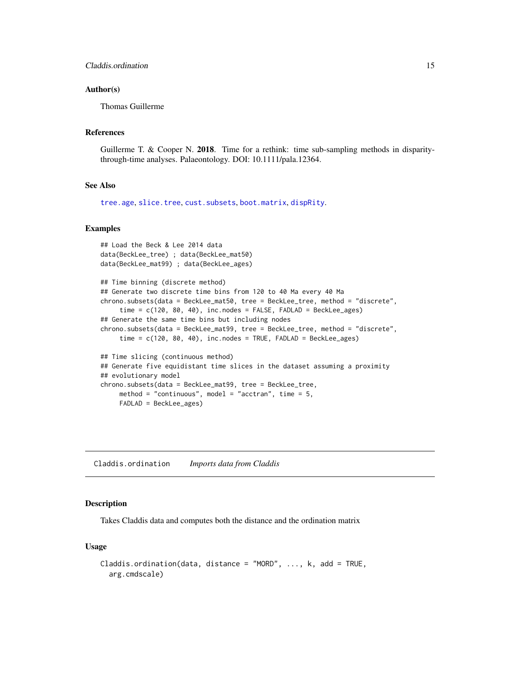#### <span id="page-14-0"></span>Author(s)

Thomas Guillerme

#### References

Guillerme T. & Cooper N. 2018. Time for a rethink: time sub-sampling methods in disparitythrough-time analyses. Palaeontology. DOI: 10.1111/pala.12364.

# See Also

[tree.age](#page-68-1), [slice.tree](#page-61-1), [cust.subsets](#page-18-2), [boot.matrix](#page-8-1), [dispRity](#page-21-1).

# Examples

```
## Load the Beck & Lee 2014 data
data(BeckLee_tree) ; data(BeckLee_mat50)
data(BeckLee_mat99) ; data(BeckLee_ages)
## Time binning (discrete method)
## Generate two discrete time bins from 120 to 40 Ma every 40 Ma
chrono.subsets(data = BeckLee_mat50, tree = BeckLee_tree, method = "discrete",
     time = c(120, 80, 40), inc.nodes = FALSE, FADLAD = BeckLee_ages)
## Generate the same time bins but including nodes
chrono.subsets(data = BeckLee_mat99, tree = BeckLee_tree, method = "discrete",
     time = c(120, 80, 40), inc.nodes = TRUE, FADLAD = BeckLee_ages)
## Time slicing (continuous method)
## Generate five equidistant time slices in the dataset assuming a proximity
## evolutionary model
chrono.subsets(data = BeckLee_mat99, tree = BeckLee_tree,
    method = "continuous", model = "acctran", time = 5,
    FADLAD = BeckLee_ages)
```
Claddis.ordination *Imports data from Claddis*

#### Description

Takes Claddis data and computes both the distance and the ordination matrix

#### Usage

```
Claddis.ordination(data, distance = "MORD", ..., k, add = TRUE,
  arg.cmdscale)
```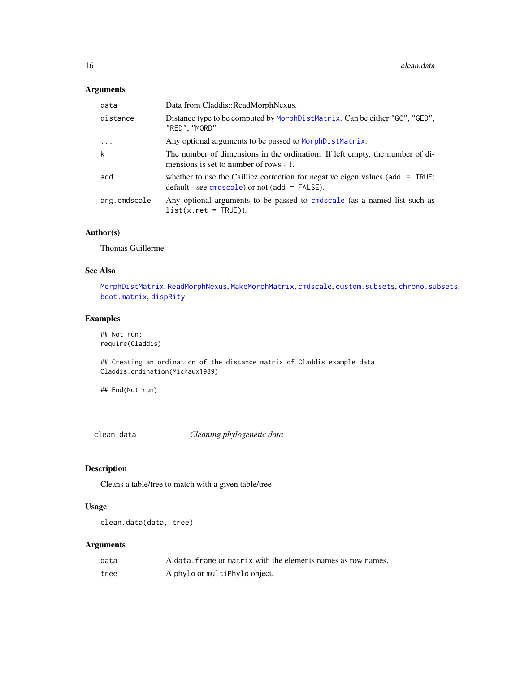# <span id="page-15-0"></span>Arguments

| data         | Data from Claddis::ReadMorphNexus.                                                                                               |
|--------------|----------------------------------------------------------------------------------------------------------------------------------|
| distance     | Distance type to be computed by MorphDistMatrix. Can be either "GC", "GED",<br>"RED", "MORD"                                     |
| $\cdots$     | Any optional arguments to be passed to MorphDistMatrix.                                                                          |
| k            | The number of dimensions in the ordination. If left empty, the number of di-<br>mensions is set to number of rows - 1.           |
| add          | whether to use the Cailliez correction for negative eigen values (add = TRUE;<br>$default - see cmdscale)$ or not (add = FALSE). |
| arg.cmdscale | Any optional arguments to be passed to cmdscale (as a named list such as<br>$list(x.ret = TRUE)).$                               |

# Author(s)

Thomas Guillerme

# See Also

[MorphDistMatrix](#page-0-0), [ReadMorphNexus](#page-0-0), [MakeMorphMatrix](#page-0-0), [cmdscale](#page-0-0), [custom.subsets](#page-18-1), [chrono.subsets](#page-12-1), [boot.matrix](#page-8-1), [dispRity](#page-21-1).

# Examples

## Not run: require(Claddis)

## Creating an ordination of the distance matrix of Claddis example data Claddis.ordination(Michaux1989)

## End(Not run)

clean.data *Cleaning phylogenetic data*

# Description

Cleans a table/tree to match with a given table/tree

# Usage

```
clean.data(data, tree)
```

| data | A data, frame or matrix with the elements names as row names. |
|------|---------------------------------------------------------------|
| tree | A phylo or multiPhylo object.                                 |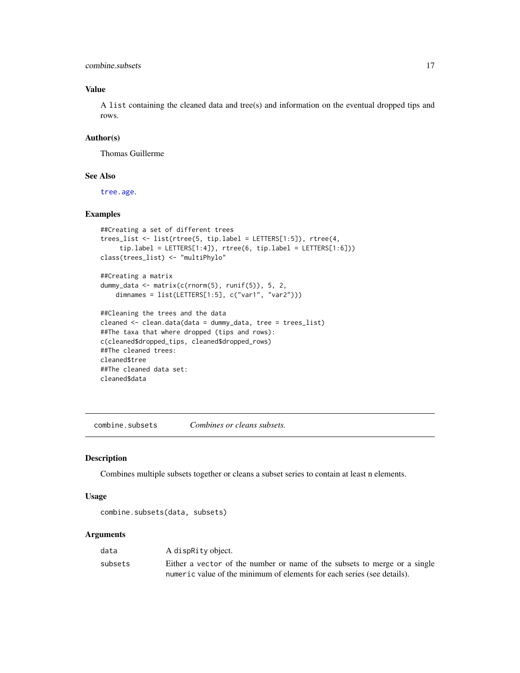<span id="page-16-0"></span>combine.subsets 17

# Value

A list containing the cleaned data and tree(s) and information on the eventual dropped tips and rows.

# Author(s)

Thomas Guillerme

# See Also

[tree.age](#page-68-1).

# Examples

```
##Creating a set of different trees
trees_list <- list(rtree(5, tip.label = LETTERS[1:5]), rtree(4,
     tip.label = LETTERS[1:4]), rtree(6, tip.label = LETTERS[1:6]))
class(trees_list) <- "multiPhylo"
##Creating a matrix
dummy_data <- matrix(c(rnorm(5), runif(5)), 5, 2,
   dimnames = list(LETTERS[1:5], c("var1", "var2")))
##Cleaning the trees and the data
cleaned <- clean.data(data = dummy_data, tree = trees_list)
##The taxa that where dropped (tips and rows):
```

```
c(cleaned$dropped_tips, cleaned$dropped_rows)
##The cleaned trees:
cleaned$tree
##The cleaned data set:
cleaned$data
```
combine.subsets *Combines or cleans subsets.*

# Description

Combines multiple subsets together or cleans a subset series to contain at least n elements.

#### Usage

```
combine.subsets(data, subsets)
```

| data    | A dispRity object.                                                        |
|---------|---------------------------------------------------------------------------|
| subsets | Either a vector of the number or name of the subsets to merge or a single |
|         | numeric value of the minimum of elements for each series (see details).   |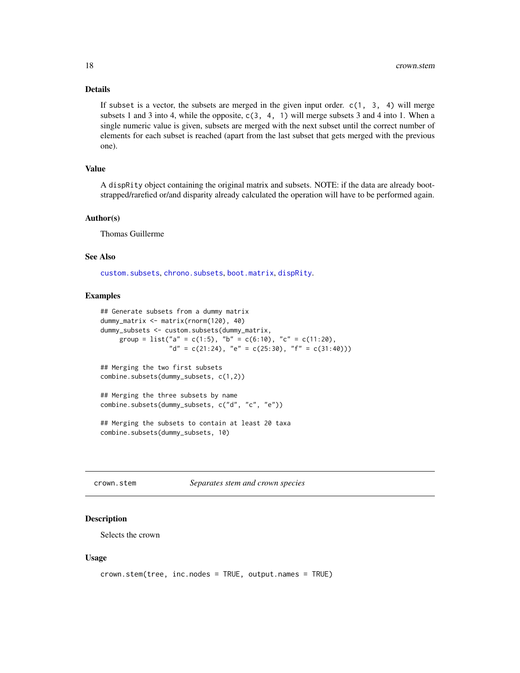If subset is a vector, the subsets are merged in the given input order.  $c(1, 3, 4)$  will merge subsets 1 and 3 into 4, while the opposite, c(3, 4, 1) will merge subsets 3 and 4 into 1. When a single numeric value is given, subsets are merged with the next subset until the correct number of elements for each subset is reached (apart from the last subset that gets merged with the previous one).

# Value

A dispRity object containing the original matrix and subsets. NOTE: if the data are already bootstrapped/rarefied or/and disparity already calculated the operation will have to be performed again.

#### Author(s)

Thomas Guillerme

# See Also

[custom.subsets](#page-18-1), [chrono.subsets](#page-12-1), [boot.matrix](#page-8-1), [dispRity](#page-21-1).

#### Examples

```
## Generate subsets from a dummy matrix
dummy_matrix <- matrix(rnorm(120), 40)
dummy_subsets <- custom.subsets(dummy_matrix,
    group = list("a" = c(1:5), "b" = c(6:10), "c" = c(11:20),"d" = c(21:24), "e" = c(25:30), "f" = c(31:40)))
## Merging the two first subsets
```

```
combine.subsets(dummy_subsets, c(1,2))
## Merging the three subsets by name
```

```
combine.subsets(dummy_subsets, c("d", "c", "e"))
```

```
## Merging the subsets to contain at least 20 taxa
combine.subsets(dummy_subsets, 10)
```
<span id="page-17-1"></span>crown.stem *Separates stem and crown species*

# Description

Selects the crown

#### Usage

```
crown.stem(tree, inc.nodes = TRUE, output.names = TRUE)
```
<span id="page-17-0"></span>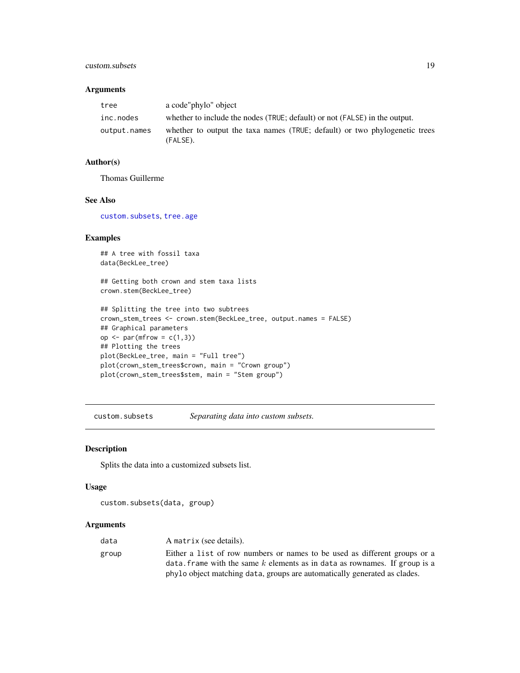# <span id="page-18-0"></span>custom.subsets 19

# Arguments

| tree         | a code"phylo" object                                                                   |
|--------------|----------------------------------------------------------------------------------------|
| inc.nodes    | whether to include the nodes (TRUE; default) or not (FALSE) in the output.             |
| output.names | whether to output the taxa names (TRUE; default) or two phylogenetic trees<br>(FALSE). |

# Author(s)

Thomas Guillerme

#### See Also

[custom.subsets](#page-18-1), [tree.age](#page-68-1)

# Examples

```
## A tree with fossil taxa
data(BeckLee_tree)
## Getting both crown and stem taxa lists
crown.stem(BeckLee_tree)
```

```
## Splitting the tree into two subtrees
crown_stem_trees <- crown.stem(BeckLee_tree, output.names = FALSE)
## Graphical parameters
op \leq par(mfrow = c(1,3))
## Plotting the trees
plot(BeckLee_tree, main = "Full tree")
plot(crown_stem_trees$crown, main = "Crown group")
plot(crown_stem_trees$stem, main = "Stem group")
```
<span id="page-18-1"></span>custom.subsets *Separating data into custom subsets.*

# <span id="page-18-2"></span>Description

Splits the data into a customized subsets list.

#### Usage

```
custom.subsets(data, group)
```

| data  | A matrix (see details).                                                                                                                                                                                                                |
|-------|----------------------------------------------------------------------------------------------------------------------------------------------------------------------------------------------------------------------------------------|
| group | Either a list of row numbers or names to be used as different groups or a<br>data, frame with the same $k$ elements as in data as rownames. If group is a<br>phylo object matching data, groups are automatically generated as clades. |
|       |                                                                                                                                                                                                                                        |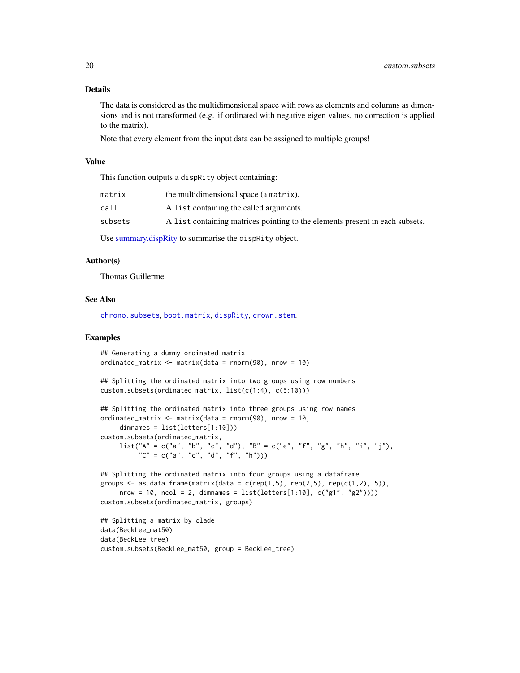The data is considered as the multidimensional space with rows as elements and columns as dimensions and is not transformed (e.g. if ordinated with negative eigen values, no correction is applied to the matrix).

Note that every element from the input data can be assigned to multiple groups!

#### Value

This function outputs a dispRity object containing:

| matrix  | the multidimensional space (a matrix).                                       |
|---------|------------------------------------------------------------------------------|
| call    | A list containing the called arguments.                                      |
| subsets | A list containing matrices pointing to the elements present in each subsets. |

Use [summary.dispRity](#page-64-1) to summarise the dispRity object.

# Author(s)

Thomas Guillerme

# See Also

[chrono.subsets](#page-12-1), [boot.matrix](#page-8-1), [dispRity](#page-21-1), [crown.stem](#page-17-1).

#### Examples

```
## Generating a dummy ordinated matrix
ordinated_matrix <- matrix(data = rnorm(90), nrow = 10)
## Splitting the ordinated matrix into two groups using row numbers
custom.subsets(ordinated_matrix, list(c(1:4), c(5:10)))
## Splitting the ordinated matrix into three groups using row names
ordinated_matrix <- matrix(data = r_{\text{norm}}(90), nrow = 10,
     dimnames = list(letters[1:10]))
custom.subsets(ordinated_matrix,
    list("A" = c("a", "b", "c", "d"), "B" = c("e", "f", "g", "h", "i", "j"),"C" = c("a", "c", "d", "f", "h"))## Splitting the ordinated matrix into four groups using a dataframe
groups \leq as.data.frame(matrix(data = c(rep(1,5), rep(2,5), rep(c(1,2), 5)),
     nrow = 10, ncol = 2, dimnames = list(leftters[1:10], c("g1", "g2"))))custom.subsets(ordinated_matrix, groups)
## Splitting a matrix by clade
```
data(BeckLee\_mat50) data(BeckLee\_tree) custom.subsets(BeckLee\_mat50, group = BeckLee\_tree)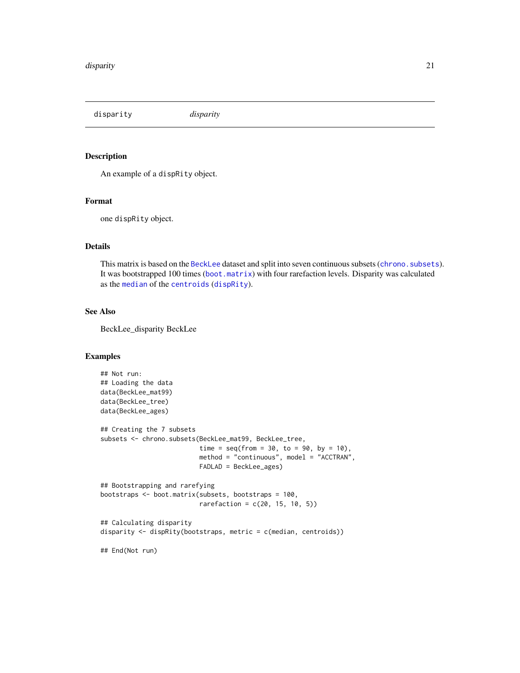<span id="page-20-0"></span>disparity *disparity*

# Description

An example of a dispRity object.

# Format

one dispRity object.

#### Details

This matrix is based on the [BeckLee](#page-6-1) dataset and split into seven continuous subsets ([chrono.subsets](#page-12-1)). It was bootstrapped 100 times ([boot.matrix](#page-8-1)) with four rarefaction levels. Disparity was calculated as the [median](#page-0-0) of the [centroids](#page-23-1) ([dispRity](#page-21-1)).

# See Also

BeckLee\_disparity BeckLee

#### Examples

```
## Not run:
## Loading the data
data(BeckLee_mat99)
data(BeckLee_tree)
data(BeckLee_ages)
## Creating the 7 subsets
subsets <- chrono.subsets(BeckLee_mat99, BeckLee_tree,
                          time = seq(from = 30, to = 90, by = 10),
                          method = "continuous", model = "ACCTRAN",
                          FADLAD = BeckLee_ages)
## Bootstrapping and rarefying
bootstraps <- boot.matrix(subsets, bootstraps = 100,
                          rarefactor = c(20, 15, 10, 5)## Calculating disparity
disparity \leq dispRity(bootstraps, metric = c(median, centroids))
## End(Not run)
```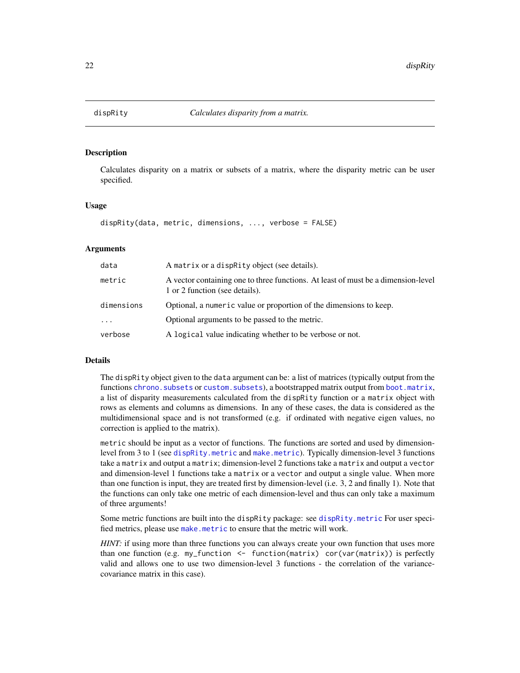<span id="page-21-1"></span><span id="page-21-0"></span>

# **Description**

Calculates disparity on a matrix or subsets of a matrix, where the disparity metric can be user specified.

#### Usage

```
dispRity(data, metric, dimensions, ..., verbose = FALSE)
```
# Arguments

| data       | A matrix or a dispractly object (see details).                                                                      |
|------------|---------------------------------------------------------------------------------------------------------------------|
| metric     | A vector containing one to three functions. At least of must be a dimension-level<br>1 or 2 function (see details). |
| dimensions | Optional, a numeric value or proportion of the dimensions to keep.                                                  |
| $\cdots$   | Optional arguments to be passed to the metric.                                                                      |
| verbose    | A logical value indicating whether to be verbose or not.                                                            |

#### Details

The dispRity object given to the data argument can be: a list of matrices (typically output from the functions [chrono.subsets](#page-12-1) or [custom.subsets](#page-18-1)), a bootstrapped matrix output from [boot.matrix](#page-8-1), a list of disparity measurements calculated from the dispRity function or a matrix object with rows as elements and columns as dimensions. In any of these cases, the data is considered as the multidimensional space and is not transformed (e.g. if ordinated with negative eigen values, no correction is applied to the matrix).

metric should be input as a vector of functions. The functions are sorted and used by dimensionlevel from 3 to 1 (see [dispRity.metric](#page-23-2) and [make.metric](#page-37-1)). Typically dimension-level 3 functions take a matrix and output a matrix; dimension-level 2 functions take a matrix and output a vector and dimension-level 1 functions take a matrix or a vector and output a single value. When more than one function is input, they are treated first by dimension-level (i.e. 3, 2 and finally 1). Note that the functions can only take one metric of each dimension-level and thus can only take a maximum of three arguments!

Some metric functions are built into the dispRity package: see [dispRity.metric](#page-23-2) For user specified metrics, please use [make.metric](#page-37-1) to ensure that the metric will work.

*HINT*: if using more than three functions you can always create your own function that uses more than one function (e.g. my\_function  $\leq$  function(matrix) cor(var(matrix)) is perfectly valid and allows one to use two dimension-level 3 functions - the correlation of the variancecovariance matrix in this case).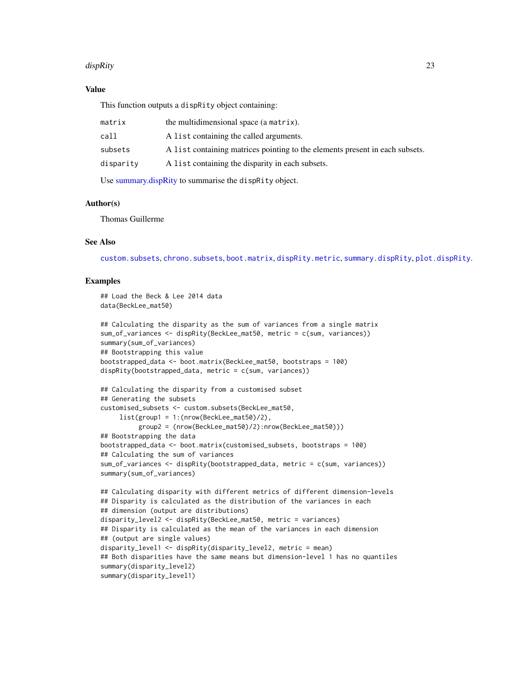#### dispRity that a state of the contract of the contract of the contract of the contract of the contract of the contract of the contract of the contract of the contract of the contract of the contract of the contract of the c

# Value

This function outputs a dispRity object containing:

| matrix    | the multidimensional space (a matrix).                                       |
|-----------|------------------------------------------------------------------------------|
| call      | A list containing the called arguments.                                      |
| subsets   | A list containing matrices pointing to the elements present in each subsets. |
| disparity | A list containing the disparity in each subsets.                             |
|           |                                                                              |

Use [summary.dispRity](#page-64-1) to summarise the dispRity object.

# Author(s)

Thomas Guillerme

# See Also

[custom.subsets](#page-18-1), [chrono.subsets](#page-12-1), [boot.matrix](#page-8-1), [dispRity.metric](#page-23-2), [summary.dispRity](#page-64-1), [plot.dispRity](#page-53-1).

#### Examples

```
## Load the Beck & Lee 2014 data
data(BeckLee_mat50)
```

```
## Calculating the disparity as the sum of variances from a single matrix
sum_of_variances <- dispRity(BeckLee_mat50, metric = c(sum, variances))
summary(sum_of_variances)
## Bootstrapping this value
bootstrapped_data <- boot.matrix(BeckLee_mat50, bootstraps = 100)
dispRity(bootstrapped_data, metric = c(sum, variances))
## Calculating the disparity from a customised subset
```

```
## Generating the subsets
customised_subsets <- custom.subsets(BeckLee_mat50,
     list(group1 = 1:(nrow(BeckLee_mat50)/2),
         group2 = (nrow(BeckLee_mat50)/2):nrow(BeckLee_mat50)))
## Bootstrapping the data
bootstrapped_data <- boot.matrix(customised_subsets, bootstraps = 100)
## Calculating the sum of variances
sum_of_variances <- dispRity(bootstrapped_data, metric = c(sum, variances))
summary(sum_of_variances)
## Calculating disparity with different metrics of different dimension-levels
## Disparity is calculated as the distribution of the variances in each
## dimension (output are distributions)
disparity_level2 <- dispRity(BeckLee_mat50, metric = variances)
```

```
## Disparity is calculated as the mean of the variances in each dimension
## (output are single values)
disparity_level1 <- dispRity(disparity_level2, metric = mean)
## Both disparities have the same means but dimension-level 1 has no quantiles
summary(disparity_level2)
```

```
summary(disparity_level1)
```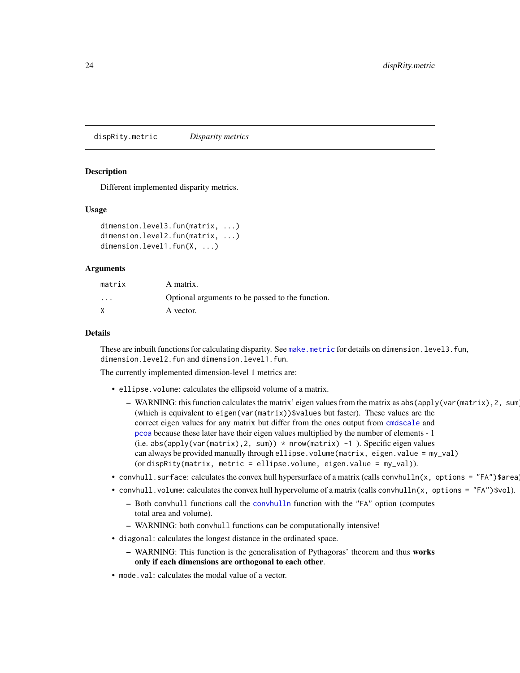<span id="page-23-2"></span><span id="page-23-0"></span>dispRity.metric *Disparity metrics*

#### <span id="page-23-1"></span>Description

Different implemented disparity metrics.

#### Usage

```
dimension.level3.fun(matrix, ...)
dimension.level2.fun(matrix, ...)
dimension.level1.fun(X, ...)
```
#### Arguments

| matrix   | A matrix.                                        |
|----------|--------------------------------------------------|
| $\cdots$ | Optional arguments to be passed to the function. |
| X        | A vector.                                        |

# Details

These are inbuilt functions for calculating disparity. See [make.metric](#page-37-1) for details on dimension.level3.fun, dimension.level2.fun and dimension.level1.fun.

The currently implemented dimension-level 1 metrics are:

- ellipse.volume: calculates the ellipsoid volume of a matrix.
	- WARNING: this function calculates the matrix' eigen values from the matrix as abs(apply(var(matrix),2, sum)) (which is equivalent to eigen(var(matrix))\$values but faster). These values are the correct eigen values for any matrix but differ from the ones output from [cmdscale](#page-0-0) and [pcoa](#page-0-0) because these later have their eigen values multiplied by the number of elements - 1 (i.e. abs(apply(var(matrix),2, sum)) \* nrow(matrix) -1 ). Specific eigen values can always be provided manually through ellipse.volume(matrix, eigen.value = my\_val) (or dispRity(matrix, metric = ellipse.volume, eigen.value =  $my_val$ )).
- convhull.surface: calculates the convex hull hypersurface of a matrix (calls convhulln(x, options = "FA")\$area
- convhull.volume: calculates the convex hull hypervolume of a matrix (calls convhulln(x, options = "FA")\$vol).
	- Both convhull functions call the [convhulln](#page-0-0) function with the "FA" option (computes total area and volume).
	- WARNING: both convhull functions can be computationally intensive!
- diagonal: calculates the longest distance in the ordinated space.
	- WARNING: This function is the generalisation of Pythagoras' theorem and thus works only if each dimensions are orthogonal to each other.
- mode.val: calculates the modal value of a vector.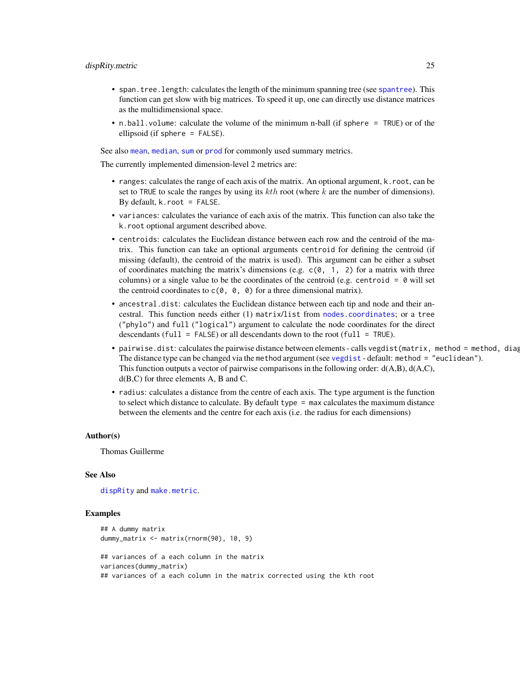- span.tree.length: calculates the length of the minimum spanning tree (see [spantree](#page-0-0)). This function can get slow with big matrices. To speed it up, one can directly use distance matrices as the multidimensional space.
- n.ball.volume: calculate the volume of the minimum n-ball (if sphere = TRUE) or of the ellipsoid (if sphere = FALSE).

See also [mean](#page-0-0), [median](#page-0-0), [sum](#page-0-0) or [prod](#page-0-0) for commonly used summary metrics.

The currently implemented dimension-level 2 metrics are:

- ranges: calculates the range of each axis of the matrix. An optional argument, k.root, can be set to TRUE to scale the ranges by using its  $kth$  root (where k are the number of dimensions). By default,  $k$ . root = FALSE.
- variances: calculates the variance of each axis of the matrix. This function can also take the k.root optional argument described above.
- centroids: calculates the Euclidean distance between each row and the centroid of the matrix. This function can take an optional arguments centroid for defining the centroid (if missing (default), the centroid of the matrix is used). This argument can be either a subset of coordinates matching the matrix's dimensions (e.g.  $c(0, 1, 2)$  for a matrix with three columns) or a single value to be the coordinates of the centroid (e.g. centroid =  $\theta$  will set the centroid coordinates to  $c(0, 0, 0)$  for a three dimensional matrix).
- ancestral.dist: calculates the Euclidean distance between each tip and node and their ancestral. This function needs either (1) matrix/list from [nodes.coordinates](#page-48-1); or a tree ("phylo") and full ("logical") argument to calculate the node coordinates for the direct descendants (full = FALSE) or all descendants down to the root (full = TRUE).
- pairwise.dist: calculates the pairwise distance between elements calls vegdist (matrix, method = method, diag The distance type can be changed via the method argument (see [vegdist](#page-0-0) - default: method = "euclidean"). This function outputs a vector of pairwise comparisons in the following order: d(A,B), d(A,C), d(B,C) for three elements A, B and C.
- radius: calculates a distance from the centre of each axis. The type argument is the function to select which distance to calculate. By default type = max calculates the maximum distance between the elements and the centre for each axis (i.e. the radius for each dimensions)

#### Author(s)

Thomas Guillerme

#### See Also

[dispRity](#page-21-1) and [make.metric](#page-37-1).

#### Examples

```
## A dummy matrix
dummy_matrix <- matrix(rnorm(90), 10, 9)
## variances of a each column in the matrix
variances(dummy_matrix)
## variances of a each column in the matrix corrected using the kth root
```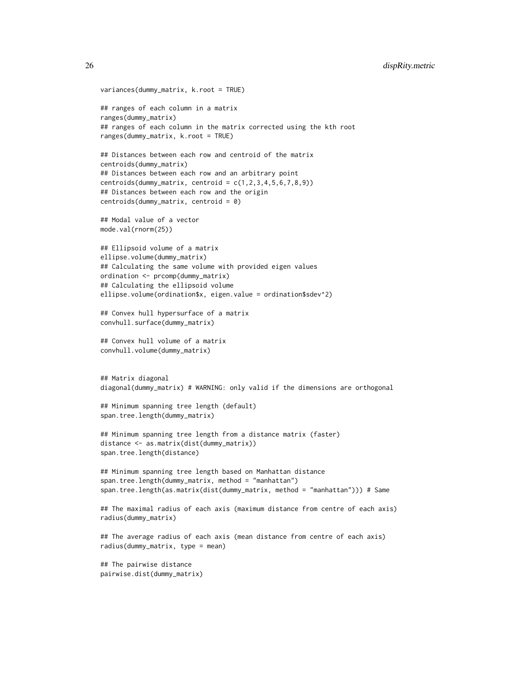# 26 dispRity.metric

```
variances(dummy_matrix, k.root = TRUE)
## ranges of each column in a matrix
ranges(dummy_matrix)
## ranges of each column in the matrix corrected using the kth root
ranges(dummy_matrix, k.root = TRUE)
## Distances between each row and centroid of the matrix
centroids(dummy_matrix)
## Distances between each row and an arbitrary point
centroids(dummy_matrix, centroid = c(1, 2, 3, 4, 5, 6, 7, 8, 9))
## Distances between each row and the origin
centroids(dummy_matrix, centroid = 0)
## Modal value of a vector
mode.val(rnorm(25))
## Ellipsoid volume of a matrix
ellipse.volume(dummy_matrix)
## Calculating the same volume with provided eigen values
ordination <- prcomp(dummy_matrix)
## Calculating the ellipsoid volume
ellipse.volume(ordination$x, eigen.value = ordination$sdev^2)
## Convex hull hypersurface of a matrix
convhull.surface(dummy_matrix)
## Convex hull volume of a matrix
convhull.volume(dummy_matrix)
## Matrix diagonal
diagonal(dummy_matrix) # WARNING: only valid if the dimensions are orthogonal
## Minimum spanning tree length (default)
span.tree.length(dummy_matrix)
## Minimum spanning tree length from a distance matrix (faster)
distance <- as.matrix(dist(dummy_matrix))
span.tree.length(distance)
## Minimum spanning tree length based on Manhattan distance
span.tree.length(dummy_matrix, method = "manhattan")
span.tree.length(as.matrix(dist(dummy_matrix, method = "manhattan"))) # Same
## The maximal radius of each axis (maximum distance from centre of each axis)
radius(dummy_matrix)
## The average radius of each axis (mean distance from centre of each axis)
radius(dummy_matrix, type = mean)
## The pairwise distance
pairwise.dist(dummy_matrix)
```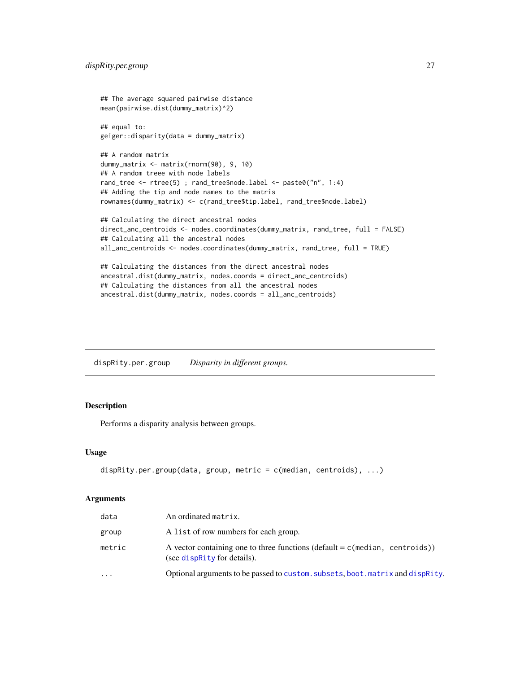```
## The average squared pairwise distance
mean(pairwise.dist(dummy_matrix)^2)
## equal to:
geiger::disparity(data = dummy_matrix)
## A random matrix
dummy_matrix <- matrix(rnorm(90), 9, 10)
## A random treee with node labels
rand_tree <- rtree(5) ; rand_tree$node.label <- paste0("n", 1:4)
## Adding the tip and node names to the matris
rownames(dummy_matrix) <- c(rand_tree$tip.label, rand_tree$node.label)
## Calculating the direct ancestral nodes
direct_anc_centroids <- nodes.coordinates(dummy_matrix, rand_tree, full = FALSE)
## Calculating all the ancestral nodes
all_anc_centroids <- nodes.coordinates(dummy_matrix, rand_tree, full = TRUE)
## Calculating the distances from the direct ancestral nodes
ancestral.dist(dummy_matrix, nodes.coords = direct_anc_centroids)
## Calculating the distances from all the ancestral nodes
```
dispRity.per.group *Disparity in different groups.*

ancestral.dist(dummy\_matrix, nodes.coords = all\_anc\_centroids)

# Description

Performs a disparity analysis between groups.

#### Usage

```
dispRity.per.group(data, group, metric = c(median, centroids), ...)
```

| data      | An ordinated matrix.                                                                                            |
|-----------|-----------------------------------------------------------------------------------------------------------------|
| group     | A list of row numbers for each group.                                                                           |
| metric    | A vector containing one to three functions (default = $c$ (median, centroids))<br>(see dispractly for details). |
| $\ddotsc$ | Optional arguments to be passed to custom. subsets, boot. matrix and dispRity.                                  |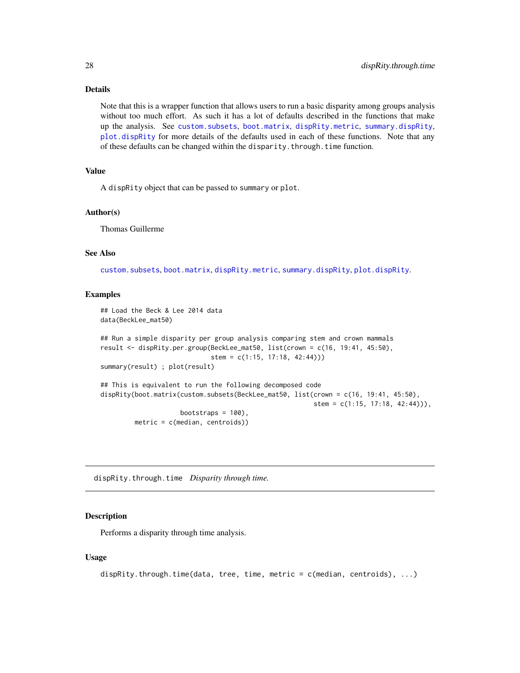Note that this is a wrapper function that allows users to run a basic disparity among groups analysis without too much effort. As such it has a lot of defaults described in the functions that make up the analysis. See [custom.subsets](#page-18-1), [boot.matrix](#page-8-1), [dispRity.metric](#page-23-2), [summary.dispRity](#page-64-1), [plot.dispRity](#page-53-1) for more details of the defaults used in each of these functions. Note that any of these defaults can be changed within the disparity.through.time function.

# Value

A dispRity object that can be passed to summary or plot.

#### Author(s)

Thomas Guillerme

#### See Also

[custom.subsets](#page-18-1), [boot.matrix](#page-8-1), [dispRity.metric](#page-23-2), [summary.dispRity](#page-64-1), [plot.dispRity](#page-53-1).

# Examples

```
## Load the Beck & Lee 2014 data
data(BeckLee_mat50)
## Run a simple disparity per group analysis comparing stem and crown mammals
result <- dispRity.per.group(BeckLee_mat50, list(crown = c(16, 19:41, 45:50),
                             stem = c(1:15, 17:18, 42:44)))
summary(result) ; plot(result)
## This is equivalent to run the following decomposed code
dispRity(boot.matrix(custom.subsets(BeckLee_mat50, list(crown = c(16, 19:41, 45:50),
                                                        stem = c(1:15, 17:18, 42:44)),
                    bootstraps = 100).
        metric = c(median, centroids))
```
dispRity.through.time *Disparity through time.*

#### **Description**

Performs a disparity through time analysis.

#### Usage

```
dispRity.through.time(data, tree, time, metric = c(median, centroids), ...)
```
<span id="page-27-0"></span>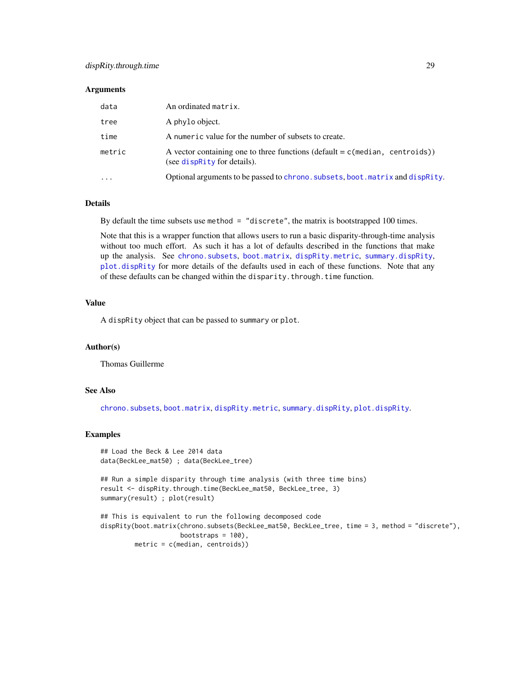#### Arguments

| data   | An ordinated matrix.                                                                                            |
|--------|-----------------------------------------------------------------------------------------------------------------|
| tree   | A phylo object.                                                                                                 |
| time   | A numeric value for the number of subsets to create.                                                            |
| metric | A vector containing one to three functions (default = $c$ (median, centroids))<br>(see dispractly for details). |
| .      | Optional arguments to be passed to chrono. subsets, boot. matrix and dispRity.                                  |

#### Details

By default the time subsets use method = "discrete", the matrix is bootstrapped 100 times.

Note that this is a wrapper function that allows users to run a basic disparity-through-time analysis without too much effort. As such it has a lot of defaults described in the functions that make up the analysis. See [chrono.subsets](#page-12-1), [boot.matrix](#page-8-1), [dispRity.metric](#page-23-2), [summary.dispRity](#page-64-1), [plot.dispRity](#page-53-1) for more details of the defaults used in each of these functions. Note that any of these defaults can be changed within the disparity.through.time function.

# Value

A dispRity object that can be passed to summary or plot.

#### Author(s)

Thomas Guillerme

#### See Also

[chrono.subsets](#page-12-1), [boot.matrix](#page-8-1), [dispRity.metric](#page-23-2), [summary.dispRity](#page-64-1), [plot.dispRity](#page-53-1).

# Examples

```
## Load the Beck & Lee 2014 data
data(BeckLee_mat50) ; data(BeckLee_tree)
```

```
## Run a simple disparity through time analysis (with three time bins)
result <- dispRity.through.time(BeckLee_mat50, BeckLee_tree, 3)
summary(result) ; plot(result)
```

```
## This is equivalent to run the following decomposed code
dispRity(boot.matrix(chrono.subsets(BeckLee_mat50, BeckLee_tree, time = 3, method = "discrete"),
                    bootstraps = 100,
        metric = c(median, centroids))
```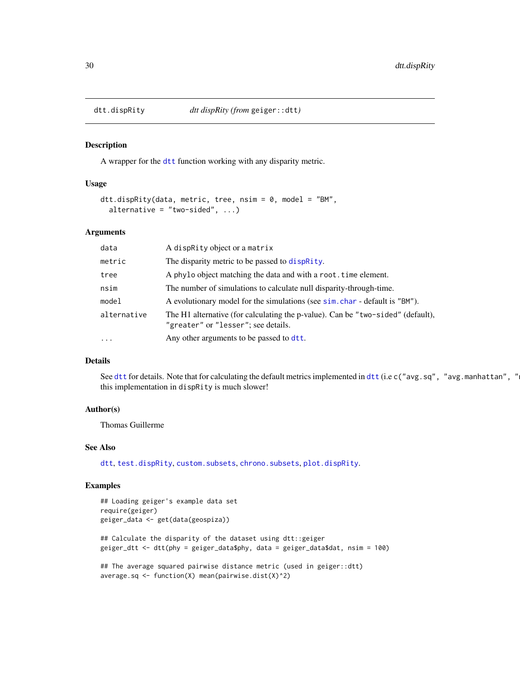<span id="page-29-0"></span>

#### Description

A wrapper for the [dtt](#page-0-0) function working with any disparity metric.

#### Usage

```
dtt.dispRity(data, metric, tree, nsim = 0, model = "BM",
  alternative = "two-sided", \dots)
```
### Arguments

| data                | A dispRity object or a matrix                                                                                          |
|---------------------|------------------------------------------------------------------------------------------------------------------------|
| metric              | The disparity metric to be passed to dispractly.                                                                       |
| tree                | A phylo object matching the data and with a root. time element.                                                        |
| nsim                | The number of simulations to calculate null disparity-through-time.                                                    |
| model               | A evolutionary model for the simulations (see sim. char - default is "BM").                                            |
| alternative         | The H1 alternative (for calculating the p-value). Can be "two-sided" (default),<br>"greater" or "lesser"; see details. |
| $\cdot \cdot \cdot$ | Any other arguments to be passed to dtt.                                                                               |

# Details

See [dtt](#page-0-0) for details. Note that for calculating the default metrics implemented in dtt (i.e c("avg.sq", "avg.manhattan", " this implementation in dispRity is much slower!

#### Author(s)

Thomas Guillerme

# See Also

[dtt](#page-0-0), [test.dispRity](#page-66-1), [custom.subsets](#page-18-1), [chrono.subsets](#page-12-1), [plot.dispRity](#page-53-1).

### Examples

```
## Loading geiger's example data set
require(geiger)
geiger_data <- get(data(geospiza))
## Calculate the disparity of the dataset using dtt::geiger
geiger_dtt <- dtt(phy = geiger_data$phy, data = geiger_data$dat, nsim = 100)
## The average squared pairwise distance metric (used in geiger::dtt)
average.sq <- function(X) mean(pairwise.dist(X)^2)
```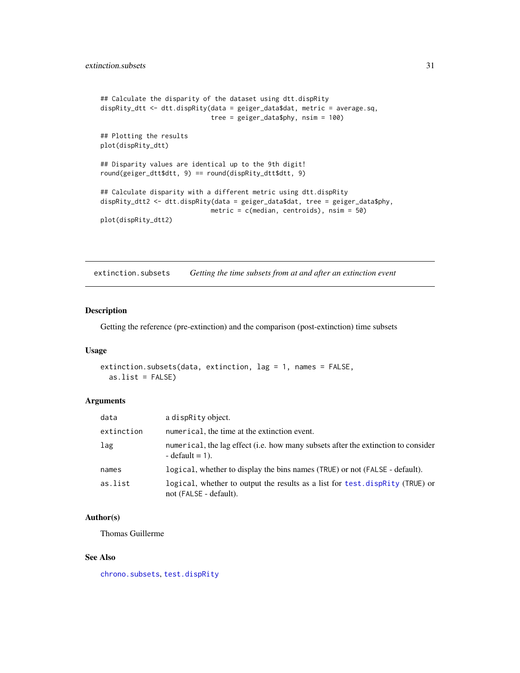```
## Calculate the disparity of the dataset using dtt.dispRity
dispRity_dtt <- dtt.dispRity(data = geiger_data$dat, metric = average.sq,
                            tree = geiger_data$phy, nsim = 100)
## Plotting the results
plot(dispRity_dtt)
## Disparity values are identical up to the 9th digit!
round(geiger_dtt$dtt, 9) == round(dispRity_dtt$dtt, 9)
## Calculate disparity with a different metric using dtt.dispRity
dispRity_dtt2 <- dtt.dispRity(data = geiger_data$dat, tree = geiger_data$phy,
                             metric = c(median, centroids), nsim = 50)
plot(dispRity_dtt2)
```
extinction.subsets *Getting the time subsets from at and after an extinction event*

# Description

Getting the reference (pre-extinction) and the comparison (post-extinction) time subsets

### Usage

```
extinction.subsets(data, extinction, lag = 1, names = FALSE,
 as.list = FALSE)
```
#### Arguments

| data       | a dispRity object.                                                                                      |
|------------|---------------------------------------------------------------------------------------------------------|
| extinction | numerical, the time at the extinction event.                                                            |
| lag        | numerical, the lag effect (i.e. how many subsets after the extinction to consider<br>$-$ default = 1).  |
| names      | logical, whether to display the bins names (TRUE) or not (FALSE - default).                             |
| as.list    | logical, whether to output the results as a list for test. dispRity (TRUE) or<br>not (FALSE - default). |

#### Author(s)

Thomas Guillerme

# See Also

[chrono.subsets](#page-12-1), [test.dispRity](#page-66-1)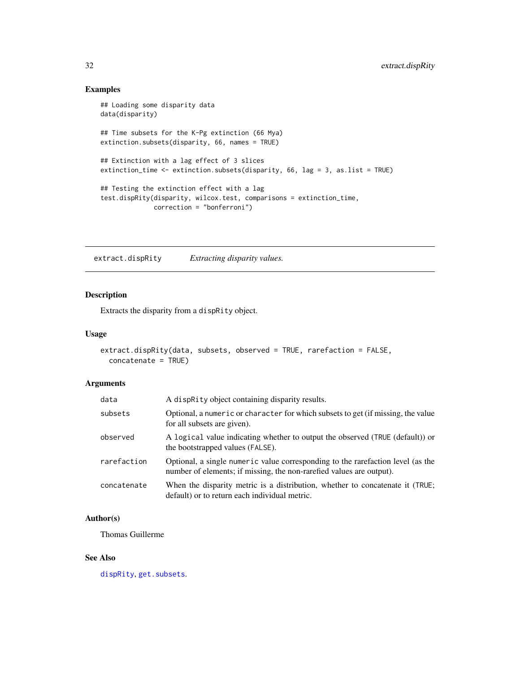# Examples

```
## Loading some disparity data
data(disparity)
## Time subsets for the K-Pg extinction (66 Mya)
extinction.subsets(disparity, 66, names = TRUE)
## Extinction with a lag effect of 3 slices
extinction_time <- extinction.subsets(disparity, 66, lag = 3, as.list = TRUE)
## Testing the extinction effect with a lag
test.dispRity(disparity, wilcox.test, comparisons = extinction_time,
              correction = "bonferroni")
```
extract.dispRity *Extracting disparity values.*

# Description

Extracts the disparity from a dispRity object.

#### Usage

```
extract.dispRity(data, subsets, observed = TRUE, rarefaction = FALSE,
 concatenate = TRUE)
```
# Arguments

| data        | A dispRity object containing disparity results.                                                                                                         |
|-------------|---------------------------------------------------------------------------------------------------------------------------------------------------------|
| subsets     | Optional, a numeric or character for which subsets to get (if missing, the value<br>for all subsets are given).                                         |
| observed    | A logical value indicating whether to output the observed (TRUE (default)) or<br>the bootstrapped values (FALSE).                                       |
| rarefaction | Optional, a single numeric value corresponding to the rarefaction level (as the<br>number of elements; if missing, the non-rarefied values are output). |
| concatenate | When the disparity metric is a distribution, whether to concatenate it (TRUE;<br>default) or to return each individual metric.                          |

# Author(s)

Thomas Guillerme

# See Also

[dispRity](#page-21-1), [get.subsets](#page-36-1).

<span id="page-31-0"></span>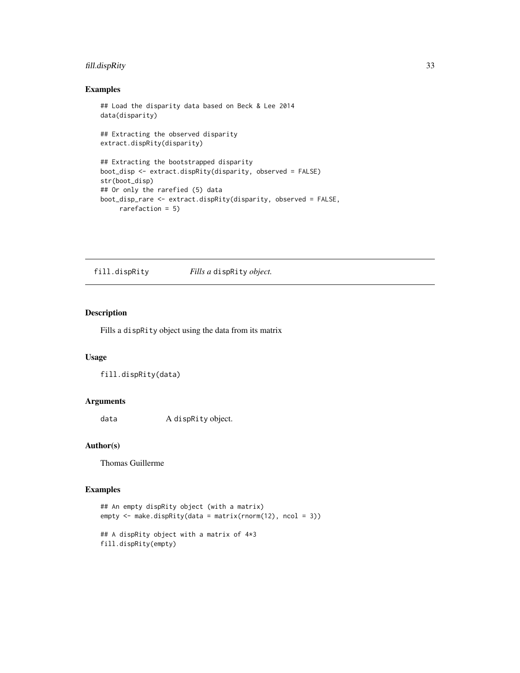# <span id="page-32-0"></span>fill.dispRity 33

# Examples

```
## Load the disparity data based on Beck & Lee 2014
data(disparity)
## Extracting the observed disparity
extract.dispRity(disparity)
## Extracting the bootstrapped disparity
boot_disp <- extract.dispRity(disparity, observed = FALSE)
str(boot_disp)
## Or only the rarefied (5) data
boot_disp_rare <- extract.dispRity(disparity, observed = FALSE,
     rarefaction = 5)
```
fill.dispRity *Fills a* dispRity *object.*

# Description

Fills a dispRity object using the data from its matrix

# Usage

fill.dispRity(data)

# Arguments

data A dispRity object.

#### Author(s)

Thomas Guillerme

# Examples

```
## An empty dispRity object (with a matrix)
empty <- make.dispRity(data = matrix(rnorm(12), ncol = 3))
## A dispRity object with a matrix of 4*3
```

```
fill.dispRity(empty)
```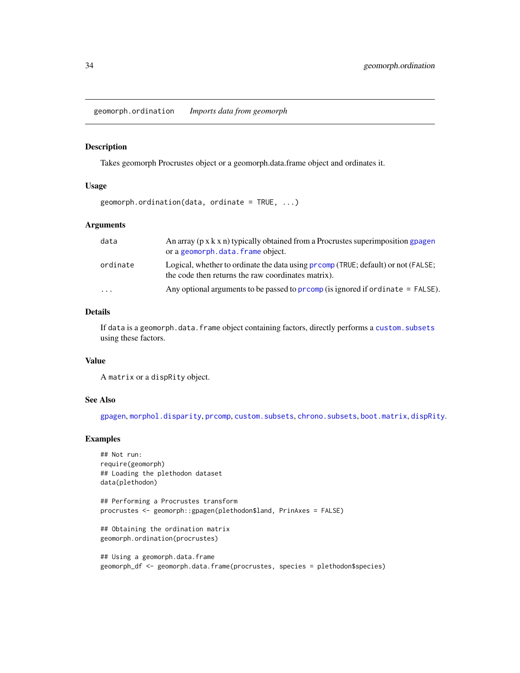<span id="page-33-0"></span>geomorph.ordination *Imports data from geomorph*

#### Description

Takes geomorph Procrustes object or a geomorph.data.frame object and ordinates it.

# Usage

 $geomorph.$  ordination(data, ordinate = TRUE,  $\ldots$ )

# Arguments

| data     | An array $(p \times k \times n)$ typically obtained from a Procrustes superimposition gpagen<br>or a geomorph.data.frame object.       |
|----------|----------------------------------------------------------------------------------------------------------------------------------------|
| ordinate | Logical, whether to ordinate the data using promp (TRUE; default) or not (FALSE;<br>the code then returns the raw coordinates matrix). |
| $\cdot$  | Any optional arguments to be passed to promp (is ignored if ordinate $=$ FALSE).                                                       |

#### Details

If data is a geomorph.data.frame object containing factors, directly performs a [custom.subsets](#page-18-1) using these factors.

#### Value

A matrix or a dispRity object.

# See Also

[gpagen](#page-0-0), [morphol.disparity](#page-0-0), [prcomp](#page-0-0), [custom.subsets](#page-18-1), [chrono.subsets](#page-12-1), [boot.matrix](#page-8-1), [dispRity](#page-21-1).

# Examples

```
## Not run:
require(geomorph)
## Loading the plethodon dataset
data(plethodon)
```
## Performing a Procrustes transform procrustes <- geomorph::gpagen(plethodon\$land, PrinAxes = FALSE)

## Obtaining the ordination matrix geomorph.ordination(procrustes)

## Using a geomorph.data.frame geomorph\_df <- geomorph.data.frame(procrustes, species = plethodon\$species)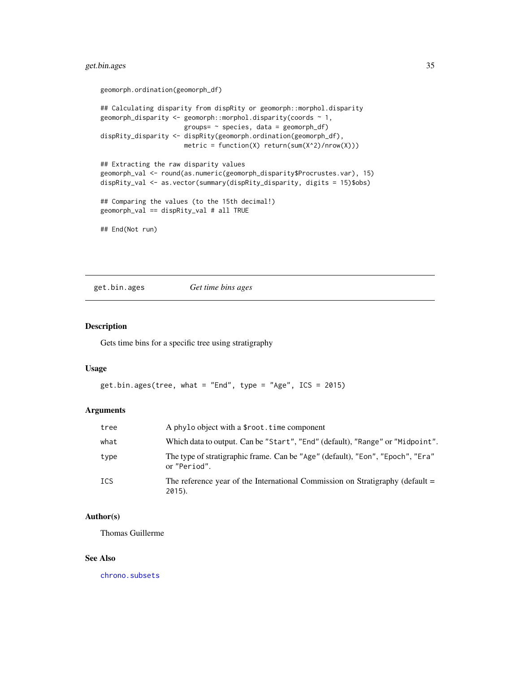# <span id="page-34-0"></span>get.bin.ages 35

```
geomorph.ordination(geomorph_df)
## Calculating disparity from dispRity or geomorph::morphol.disparity
geomorph_disparity \leq geomorph::morphol.disparity(coords \sim 1,
                      groups= \sim species, data = geomorph_df)
dispRity_disparity <- dispRity(geomorph.ordination(geomorph_df),
                      metric = function(X) return(sum(X^2)/nrow(X)))## Extracting the raw disparity values
geomorph_val <- round(as.numeric(geomorph_disparity$Procrustes.var), 15)
dispRity_val <- as.vector(summary(dispRity_disparity, digits = 15)$obs)
## Comparing the values (to the 15th decimal!)
geomorph_val == dispRity_val # all TRUE
## End(Not run)
```
get.bin.ages *Get time bins ages*

### Description

Gets time bins for a specific tree using stratigraphy

# Usage

```
get.bin.ages(tree, what = "End", type = "Age", ICS = 2015)
```
# Arguments

| tree | A phylo object with a \$root, time component                                                   |
|------|------------------------------------------------------------------------------------------------|
| what | Which data to output. Can be "Start", "End" (default), "Range" or "Midpoint".                  |
| type | The type of stratigraphic frame. Can be "Age" (default), "Eon", "Epoch", "Era"<br>or "Period". |
| ICS  | The reference year of the International Commission on Stratigraphy (default $=$<br>2015).      |

# Author(s)

Thomas Guillerme

#### See Also

[chrono.subsets](#page-12-1)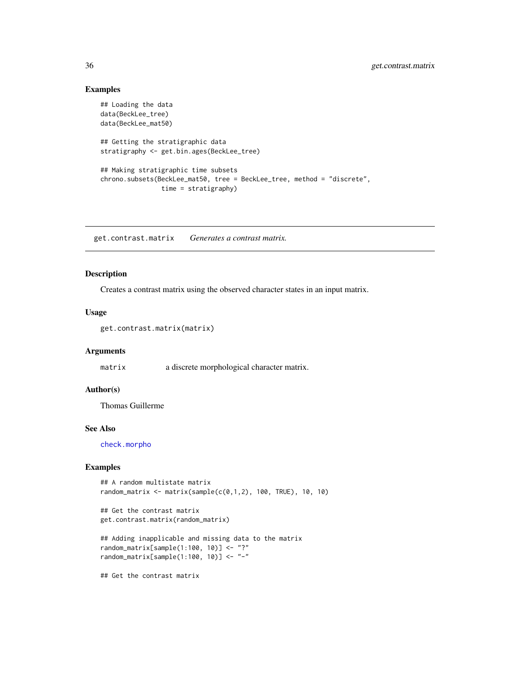# Examples

```
## Loading the data
data(BeckLee_tree)
data(BeckLee_mat50)
## Getting the stratigraphic data
stratigraphy <- get.bin.ages(BeckLee_tree)
## Making stratigraphic time subsets
chrono.subsets(BeckLee_mat50, tree = BeckLee_tree, method = "discrete",
                time = stratigraphy)
```
<span id="page-35-1"></span>get.contrast.matrix *Generates a contrast matrix.*

# Description

Creates a contrast matrix using the observed character states in an input matrix.

# Usage

```
get.contrast.matrix(matrix)
```
# Arguments

matrix a discrete morphological character matrix.

#### Author(s)

Thomas Guillerme

# See Also

[check.morpho](#page-11-1)

# Examples

```
## A random multistate matrix
random_matrix <- matrix(sample(c(0,1,2), 100, TRUE), 10, 10)
```

```
## Get the contrast matrix
get.contrast.matrix(random_matrix)
```

```
## Adding inapplicable and missing data to the matrix
random_matrix[sample(1:100, 10)] <- "?"
random_matrix[sample(1:100, 10)] <- "-"
```
## Get the contrast matrix

<span id="page-35-0"></span>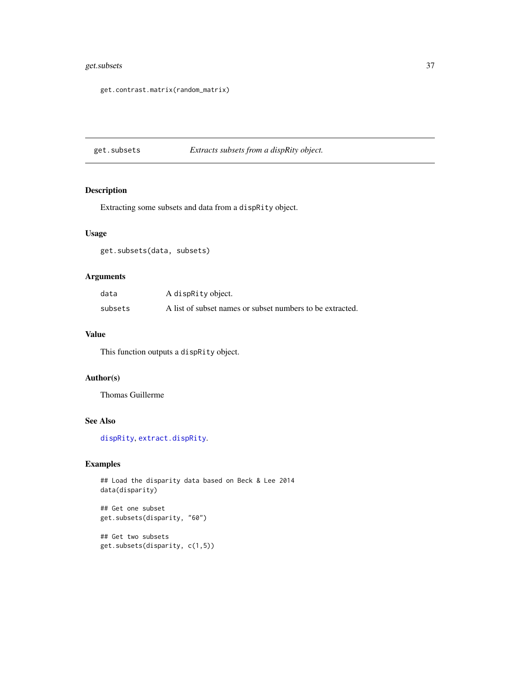## <span id="page-36-1"></span>get.subsets 37

get.contrast.matrix(random\_matrix)

<span id="page-36-0"></span>get.subsets *Extracts subsets from a dispRity object.*

## Description

Extracting some subsets and data from a dispRity object.

## Usage

get.subsets(data, subsets)

## Arguments

| data    | A dispRity object.                                        |
|---------|-----------------------------------------------------------|
| subsets | A list of subset names or subset numbers to be extracted. |

#### Value

This function outputs a dispRity object.

## Author(s)

Thomas Guillerme

## See Also

[dispRity](#page-21-0), [extract.dispRity](#page-31-0).

## Examples

```
## Load the disparity data based on Beck & Lee 2014
data(disparity)
```
## Get one subset get.subsets(disparity, "60")

## Get two subsets get.subsets(disparity, c(1,5))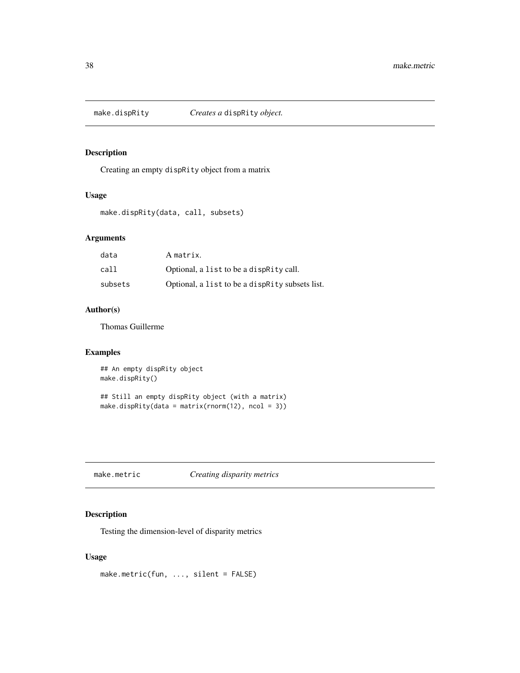<span id="page-37-0"></span>

Creating an empty dispRity object from a matrix

## Usage

make.dispRity(data, call, subsets)

## Arguments

| data    | A matrix.                                         |
|---------|---------------------------------------------------|
| call    | Optional, a list to be a dispractly call.         |
| subsets | Optional, a list to be a dispractly subsets list. |

## Author(s)

Thomas Guillerme

## Examples

```
## An empty dispRity object
make.dispRity()
## Still an empty dispRity object (with a matrix)
make.dispRity(data = matrix(rnorm(12), ncol = 3))
```
make.metric *Creating disparity metrics*

## Description

Testing the dimension-level of disparity metrics

## Usage

make.metric(fun, ..., silent = FALSE)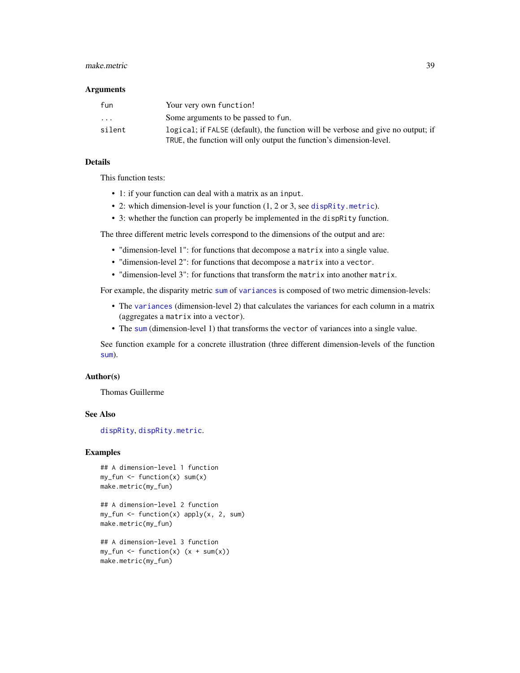#### <span id="page-38-0"></span>make.metric 39

#### **Arguments**

| fun                     | Your very own function!                                                          |
|-------------------------|----------------------------------------------------------------------------------|
| $\cdot$ $\cdot$ $\cdot$ | Some arguments to be passed to fun.                                              |
| silent                  | logical; if FALSE (default), the function will be verbose and give no output; if |
|                         | TRUE, the function will only output the function's dimension-level.              |

#### Details

This function tests:

- 1: if your function can deal with a matrix as an input.
- 2: which dimension-level is your function (1, 2 or 3, see [dispRity.metric](#page-23-0)).
- 3: whether the function can properly be implemented in the dispRity function.

The three different metric levels correspond to the dimensions of the output and are:

- "dimension-level 1": for functions that decompose a matrix into a single value.
- "dimension-level 2": for functions that decompose a matrix into a vector.
- "dimension-level 3": for functions that transform the matrix into another matrix.

For example, the disparity metric [sum](#page-0-0) of [variances](#page-23-1) is composed of two metric dimension-levels:

- The [variances](#page-23-1) (dimension-level 2) that calculates the variances for each column in a matrix (aggregates a matrix into a vector).
- The [sum](#page-0-0) (dimension-level 1) that transforms the vector of variances into a single value.

See function example for a concrete illustration (three different dimension-levels of the function [sum](#page-0-0)).

#### Author(s)

Thomas Guillerme

#### See Also

[dispRity](#page-21-0), [dispRity.metric](#page-23-0).

```
## A dimension-level 1 function
my_fun \leftarrow function(x) sum(x)make.metric(my_fun)
```

```
## A dimension-level 2 function
my_fun <- function(x) apply(x, 2, sum)
make.metric(my_fun)
```

```
## A dimension-level 3 function
my_fun \leftarrow function(x) (x + sum(x))make.metric(my_fun)
```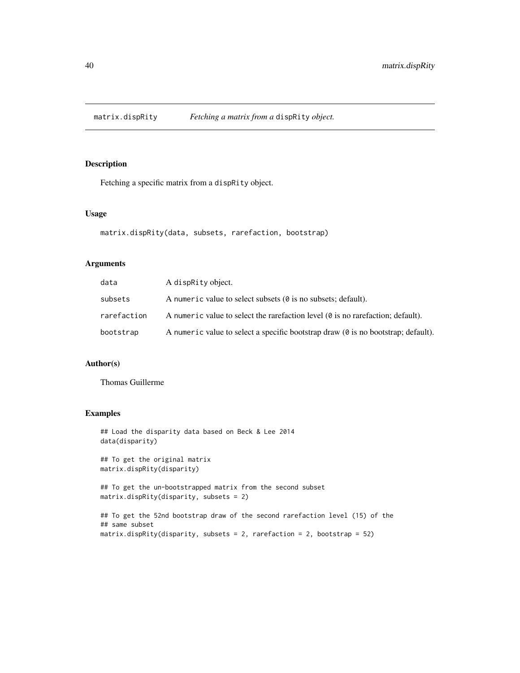<span id="page-39-0"></span>

Fetching a specific matrix from a dispRity object.

#### Usage

```
matrix.dispRity(data, subsets, rarefaction, bootstrap)
```
## Arguments

| data        | A dispraity object.                                                                           |
|-------------|-----------------------------------------------------------------------------------------------|
| subsets     | A numeric value to select subsets $(\theta \text{ is no subsets}; \text{ default}).$          |
| rarefaction | A numeric value to select the rarefaction level $\phi$ is no rarefaction; default).           |
| bootstrap   | A numeric value to select a specific bootstrap draw $(0 \text{ is no bootstrap})$ ; default). |

## Author(s)

Thomas Guillerme

```
## Load the disparity data based on Beck & Lee 2014
data(disparity)
## To get the original matrix
matrix.dispRity(disparity)
## To get the un-bootstrapped matrix from the second subset
matrix.dispRity(disparity, subsets = 2)
## To get the 52nd bootstrap draw of the second rarefaction level (15) of the
## same subset
matrix.dispRity(disparity, subsets = 2, rarefaction = 2, bootstrap = 52)
```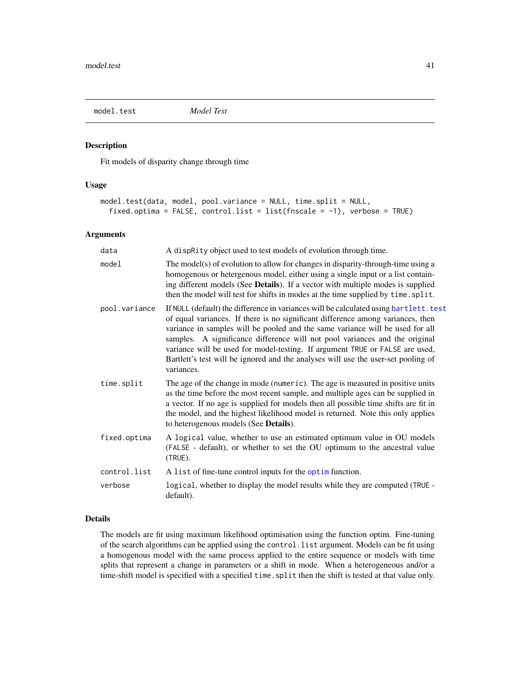<span id="page-40-1"></span><span id="page-40-0"></span>

Fit models of disparity change through time

#### Usage

```
model.test(data, model, pool.variance = NULL, time.split = NULL,
  fixed.optima = FALSE, control.list = list(fnscale = -1), verbose = TRUE)
```
#### Arguments

| data          | A dispRity object used to test models of evolution through time.                                                                                                                                                                                                                                                                                                                                                                                                                                                            |
|---------------|-----------------------------------------------------------------------------------------------------------------------------------------------------------------------------------------------------------------------------------------------------------------------------------------------------------------------------------------------------------------------------------------------------------------------------------------------------------------------------------------------------------------------------|
| model         | The model(s) of evolution to allow for changes in disparity-through-time using a<br>homogenous or hetergenous model, either using a single input or a list contain-<br>ing different models (See Details). If a vector with multiple modes is supplied<br>then the model will test for shifts in modes at the time supplied by time. split.                                                                                                                                                                                 |
| pool.variance | If NULL (default) the difference in variances will be calculated using bartlett. test<br>of equal variances. If there is no significant difference among variances, then<br>variance in samples will be pooled and the same variance will be used for all<br>samples. A significance difference will not pool variances and the original<br>variance will be used for model-testing. If argument TRUE or FALSE are used,<br>Bartlett's test will be ignored and the analyses will use the user-set pooling of<br>variances. |
| time.split    | The age of the change in mode (numeric). The age is measured in positive units<br>as the time before the most recent sample, and multiple ages can be supplied in<br>a vector. If no age is supplied for models then all possible time shifts are fit in<br>the model, and the highest likelihood model is returned. Note this only applies<br>to heterogenous models (See Details).                                                                                                                                        |
| fixed.optima  | A logical value, whether to use an estimated optimum value in OU models<br>(FALSE - default), or whether to set the OU optimum to the ancestral value<br>(TRUE).                                                                                                                                                                                                                                                                                                                                                            |
| control.list  | A list of fine-tune control inputs for the optim function.                                                                                                                                                                                                                                                                                                                                                                                                                                                                  |
| verbose       | logical, whether to display the model results while they are computed (TRUE -<br>default).                                                                                                                                                                                                                                                                                                                                                                                                                                  |

#### Details

The models are fit using maximum likelihood optimisation using the function optim. Fine-tuning of the search algorithms can be applied using the control.list argument. Models can be fit using a homogenous model with the same process applied to the entire sequence or models with time splits that represent a change in parameters or a shift in mode. When a heterogeneous and/or a time-shift model is specified with a specified time. split then the shift is tested at that value only.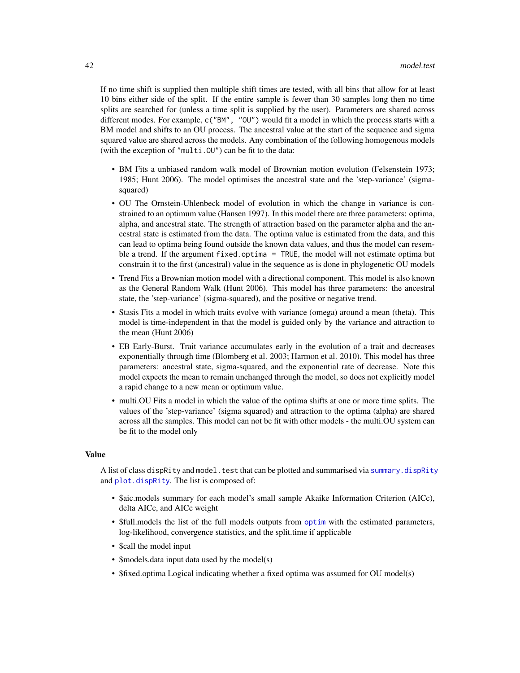<span id="page-41-0"></span>If no time shift is supplied then multiple shift times are tested, with all bins that allow for at least 10 bins either side of the split. If the entire sample is fewer than 30 samples long then no time splits are searched for (unless a time split is supplied by the user). Parameters are shared across different modes. For example, c("BM", "OU") would fit a model in which the process starts with a BM model and shifts to an OU process. The ancestral value at the start of the sequence and sigma squared value are shared across the models. Any combination of the following homogenous models (with the exception of "multi.OU") can be fit to the data:

- BM Fits a unbiased random walk model of Brownian motion evolution (Felsenstein 1973; 1985; Hunt 2006). The model optimises the ancestral state and the 'step-variance' (sigmasquared)
- OU The Ornstein-Uhlenbeck model of evolution in which the change in variance is constrained to an optimum value (Hansen 1997). In this model there are three parameters: optima, alpha, and ancestral state. The strength of attraction based on the parameter alpha and the ancestral state is estimated from the data. The optima value is estimated from the data, and this can lead to optima being found outside the known data values, and thus the model can resemble a trend. If the argument fixed.optima = TRUE, the model will not estimate optima but constrain it to the first (ancestral) value in the sequence as is done in phylogenetic OU models
- Trend Fits a Brownian motion model with a directional component. This model is also known as the General Random Walk (Hunt 2006). This model has three parameters: the ancestral state, the 'step-variance' (sigma-squared), and the positive or negative trend.
- Stasis Fits a model in which traits evolve with variance (omega) around a mean (theta). This model is time-independent in that the model is guided only by the variance and attraction to the mean (Hunt 2006)
- EB Early-Burst. Trait variance accumulates early in the evolution of a trait and decreases exponentially through time (Blomberg et al. 2003; Harmon et al. 2010). This model has three parameters: ancestral state, sigma-squared, and the exponential rate of decrease. Note this model expects the mean to remain unchanged through the model, so does not explicitly model a rapid change to a new mean or optimum value.
- multi.OU Fits a model in which the value of the optima shifts at one or more time splits. The values of the 'step-variance' (sigma squared) and attraction to the optima (alpha) are shared across all the samples. This model can not be fit with other models - the multi.OU system can be fit to the model only

## Value

A list of class dispRity and model.test that can be plotted and summarised via [summary.dispRity](#page-64-0) and [plot.dispRity](#page-53-0). The list is composed of:

- \$aic.models summary for each model's small sample Akaike Information Criterion (AICc), delta AICc, and AICc weight
- \$full.models the list of the full models outputs from [optim](#page-0-0) with the estimated parameters, log-likelihood, convergence statistics, and the split.time if applicable
- \$call the model input
- \$models.data input data used by the model(s)
- \$fixed.optima Logical indicating whether a fixed optima was assumed for OU model(s)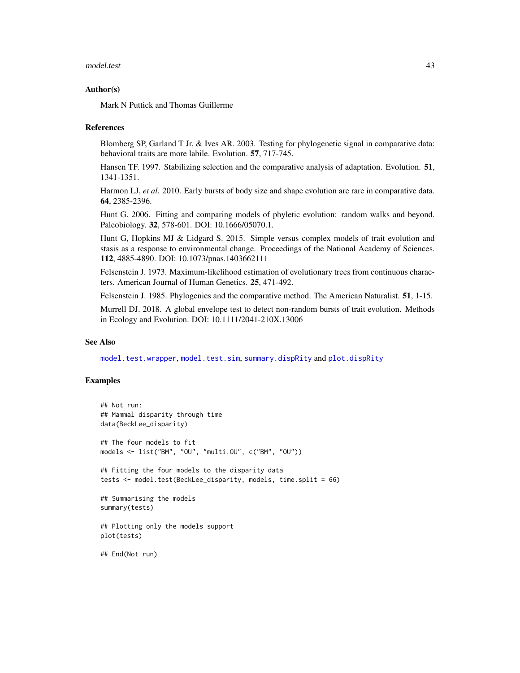#### <span id="page-42-0"></span>model.test 43

#### Author(s)

Mark N Puttick and Thomas Guillerme

#### References

Blomberg SP, Garland T Jr, & Ives AR. 2003. Testing for phylogenetic signal in comparative data: behavioral traits are more labile. Evolution. 57, 717-745.

Hansen TF. 1997. Stabilizing selection and the comparative analysis of adaptation. Evolution. 51, 1341-1351.

Harmon LJ, *et al*. 2010. Early bursts of body size and shape evolution are rare in comparative data. 64, 2385-2396.

Hunt G. 2006. Fitting and comparing models of phyletic evolution: random walks and beyond. Paleobiology. 32, 578-601. DOI: 10.1666/05070.1.

Hunt G, Hopkins MJ & Lidgard S. 2015. Simple versus complex models of trait evolution and stasis as a response to environmental change. Proceedings of the National Academy of Sciences. 112, 4885-4890. DOI: 10.1073/pnas.1403662111

Felsenstein J. 1973. Maximum-likelihood estimation of evolutionary trees from continuous characters. American Journal of Human Genetics. 25, 471-492.

Felsenstein J. 1985. Phylogenies and the comparative method. The American Naturalist. 51, 1-15.

Murrell DJ. 2018. A global envelope test to detect non-random bursts of trait evolution. Methods in Ecology and Evolution. DOI: 10.1111/2041-210X.13006

#### See Also

[model.test.wrapper](#page-45-0), [model.test.sim](#page-43-0), [summary.dispRity](#page-64-0) and [plot.dispRity](#page-53-0)

```
## Not run:
## Mammal disparity through time
data(BeckLee_disparity)
## The four models to fit
models <- list("BM", "OU", "multi.OU", c("BM", "OU"))
## Fitting the four models to the disparity data
tests <- model.test(BeckLee_disparity, models, time.split = 66)
## Summarising the models
summary(tests)
## Plotting only the models support
plot(tests)
## End(Not run)
```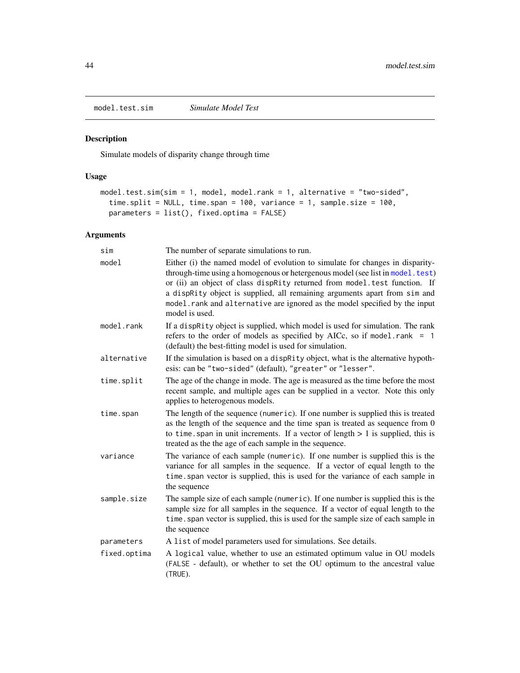<span id="page-43-1"></span><span id="page-43-0"></span>model.test.sim *Simulate Model Test*

# Description

Simulate models of disparity change through time

## Usage

```
model.test.sim(sim = 1, model, model.rank = 1, alternative = "two-sided",
  time.split = NULL, time.span = 100, variance = 1, sample.size = 100,
 parameters = list(), fixed.optima = FALSE)
```
# Arguments

| sim          | The number of separate simulations to run.                                                                                                                                                                                                                                                                                                                                                                               |
|--------------|--------------------------------------------------------------------------------------------------------------------------------------------------------------------------------------------------------------------------------------------------------------------------------------------------------------------------------------------------------------------------------------------------------------------------|
| model        | Either (i) the named model of evolution to simulate for changes in disparity-<br>through-time using a homogenous or hetergenous model (see list in model.test)<br>or (ii) an object of class dispRity returned from model.test function. If<br>a dispRity object is supplied, all remaining arguments apart from sim and<br>model.rank and alternative are ignored as the model specified by the input<br>model is used. |
| model.rank   | If a dispRity object is supplied, which model is used for simulation. The rank<br>refers to the order of models as specified by AICc, so if model.rank = $1$<br>(default) the best-fitting model is used for simulation.                                                                                                                                                                                                 |
| alternative  | If the simulation is based on a disprity object, what is the alternative hypoth-<br>esis: can be "two-sided" (default), "greater" or "lesser".                                                                                                                                                                                                                                                                           |
| time.split   | The age of the change in mode. The age is measured as the time before the most<br>recent sample, and multiple ages can be supplied in a vector. Note this only<br>applies to heterogenous models.                                                                                                                                                                                                                        |
| time.span    | The length of the sequence (numeric). If one number is supplied this is treated<br>as the length of the sequence and the time span is treated as sequence from 0<br>to time. span in unit increments. If a vector of length $> 1$ is supplied, this is<br>treated as the the age of each sample in the sequence.                                                                                                         |
| variance     | The variance of each sample (numeric). If one number is supplied this is the<br>variance for all samples in the sequence. If a vector of equal length to the<br>time. span vector is supplied, this is used for the variance of each sample in<br>the sequence                                                                                                                                                           |
| sample.size  | The sample size of each sample (numeric). If one number is supplied this is the<br>sample size for all samples in the sequence. If a vector of equal length to the<br>time. span vector is supplied, this is used for the sample size of each sample in<br>the sequence                                                                                                                                                  |
| parameters   | A list of model parameters used for simulations. See details.                                                                                                                                                                                                                                                                                                                                                            |
| fixed.optima | A logical value, whether to use an estimated optimum value in OU models<br>(FALSE - default), or whether to set the OU optimum to the ancestral value<br>(TRUE).                                                                                                                                                                                                                                                         |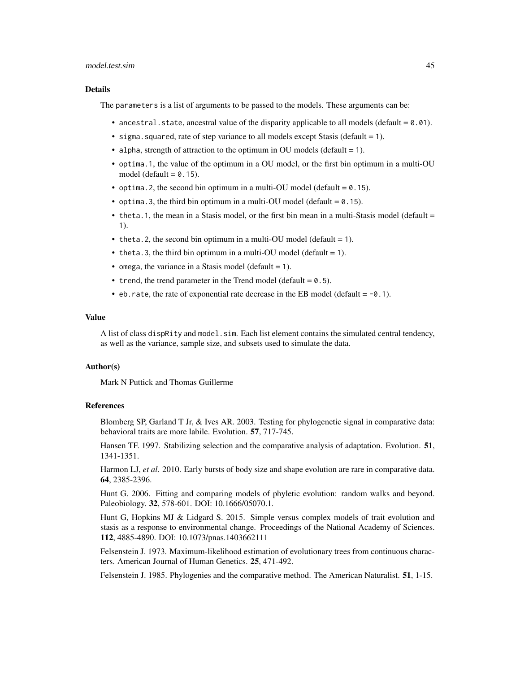#### model.test.sim 45

#### Details

The parameters is a list of arguments to be passed to the models. These arguments can be:

- ancestral. state, ancestral value of the disparity applicable to all models (default  $= 0.01$ ).
- sigma. squared, rate of step variance to all models except Stasis (default  $= 1$ ).
- alpha, strength of attraction to the optimum in OU models (default = 1).
- optima.1, the value of the optimum in a OU model, or the first bin optimum in a multi-OU model (default  $= 0.15$ ).
- optima. 2, the second bin optimum in a multi-OU model (default  $= 0.15$ ).
- optima. 3, the third bin optimum in a multi-OU model (default  $= 0.15$ ).
- theta.1, the mean in a Stasis model, or the first bin mean in a multi-Stasis model (default = 1).
- theta.2, the second bin optimum in a multi-OU model (default = 1).
- theta. 3, the third bin optimum in a multi-OU model (default  $= 1$ ).
- omega, the variance in a Stasis model (default  $= 1$ ).
- trend, the trend parameter in the Trend model (default  $= 0.5$ ).
- eb.rate, the rate of exponential rate decrease in the EB model (default =  $-0.1$ ).

#### Value

A list of class dispRity and model, sim. Each list element contains the simulated central tendency, as well as the variance, sample size, and subsets used to simulate the data.

#### Author(s)

Mark N Puttick and Thomas Guillerme

#### References

Blomberg SP, Garland T Jr, & Ives AR. 2003. Testing for phylogenetic signal in comparative data: behavioral traits are more labile. Evolution. 57, 717-745.

Hansen TF. 1997. Stabilizing selection and the comparative analysis of adaptation. Evolution. 51, 1341-1351.

Harmon LJ, *et al*. 2010. Early bursts of body size and shape evolution are rare in comparative data. 64, 2385-2396.

Hunt G. 2006. Fitting and comparing models of phyletic evolution: random walks and beyond. Paleobiology. 32, 578-601. DOI: 10.1666/05070.1.

Hunt G, Hopkins MJ & Lidgard S. 2015. Simple versus complex models of trait evolution and stasis as a response to environmental change. Proceedings of the National Academy of Sciences. 112, 4885-4890. DOI: 10.1073/pnas.1403662111

Felsenstein J. 1973. Maximum-likelihood estimation of evolutionary trees from continuous characters. American Journal of Human Genetics. 25, 471-492.

Felsenstein J. 1985. Phylogenies and the comparative method. The American Naturalist. 51, 1-15.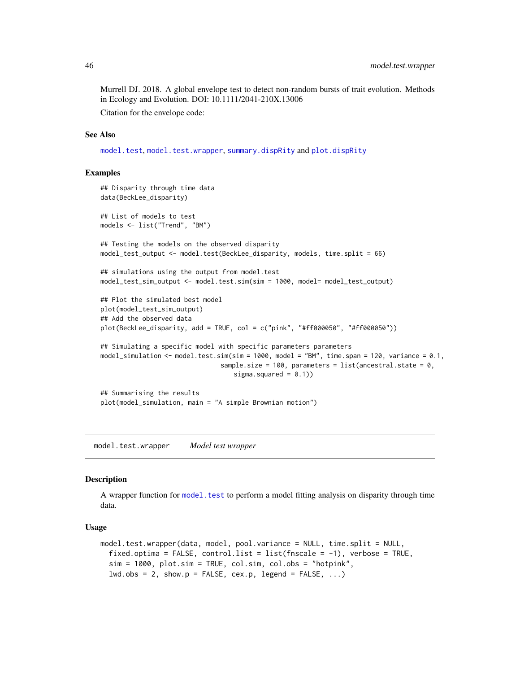<span id="page-45-1"></span>Murrell DJ. 2018. A global envelope test to detect non-random bursts of trait evolution. Methods in Ecology and Evolution. DOI: 10.1111/2041-210X.13006 Citation for the envelope code:

#### See Also

[model.test](#page-40-0), [model.test.wrapper](#page-45-0), [summary.dispRity](#page-64-0) and [plot.dispRity](#page-53-0)

#### Examples

```
## Disparity through time data
data(BeckLee_disparity)
## List of models to test
models <- list("Trend", "BM")
## Testing the models on the observed disparity
model_test_output <- model.test(BeckLee_disparity, models, time.split = 66)
## simulations using the output from model.test
model_test_sim_output <- model.test.sim(sim = 1000, model= model_test_output)
## Plot the simulated best model
plot(model_test_sim_output)
## Add the observed data
plot(BeckLee_disparity, add = TRUE, col = c("pink", "#ff000050", "#ff000050"))
## Simulating a specific model with specific parameters parameters
model_simulation <- model.test.sim(sim = 1000, model = "BM", time.span = 120, variance = 0.1,
                                sample.size = 100, parameters = list(ancestral.state = 0,
                                   sigma.squared = (0.1))
## Summarising the results
plot(model_simulation, main = "A simple Brownian motion")
```
<span id="page-45-0"></span>model.test.wrapper *Model test wrapper*

#### **Description**

A wrapper function for [model.test](#page-40-0) to perform a model fitting analysis on disparity through time data.

#### Usage

```
model.test.wrapper(data, model, pool.variance = NULL, time.split = NULL,
  fixed.optima = FALSE, control.list = list(fnscale = -1), verbose = TRUE,
  sim = 1000, plot.sim = TRUE, col.sim, col.obs = "hotpink",
  lwd.obs = 2, show.p = FALSE, cex.p, legend = FALSE, ...)
```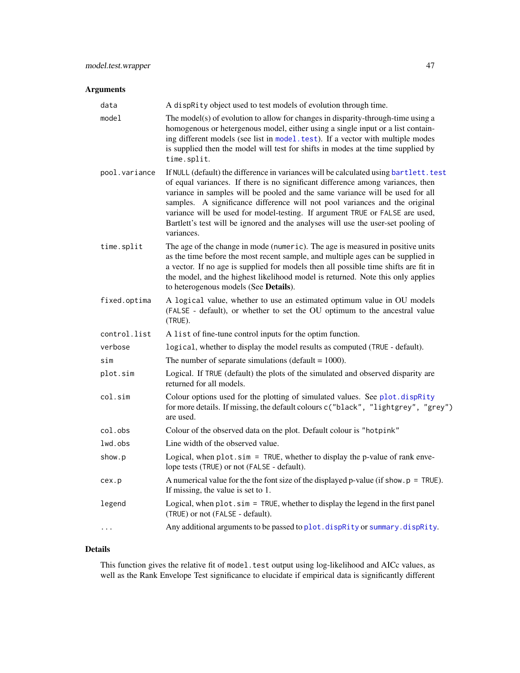# <span id="page-46-0"></span>Arguments

| data          | A dispRity object used to test models of evolution through time.                                                                                                                                                                                                                                                                                                                                                                                                                                                            |
|---------------|-----------------------------------------------------------------------------------------------------------------------------------------------------------------------------------------------------------------------------------------------------------------------------------------------------------------------------------------------------------------------------------------------------------------------------------------------------------------------------------------------------------------------------|
| model         | The model(s) of evolution to allow for changes in disparity-through-time using a<br>homogenous or hetergenous model, either using a single input or a list contain-<br>ing different models (see list in model.test). If a vector with multiple modes<br>is supplied then the model will test for shifts in modes at the time supplied by<br>time.split.                                                                                                                                                                    |
| pool.variance | If NULL (default) the difference in variances will be calculated using bartlett. test<br>of equal variances. If there is no significant difference among variances, then<br>variance in samples will be pooled and the same variance will be used for all<br>samples. A significance difference will not pool variances and the original<br>variance will be used for model-testing. If argument TRUE or FALSE are used,<br>Bartlett's test will be ignored and the analyses will use the user-set pooling of<br>variances. |
| time.split    | The age of the change in mode (numeric). The age is measured in positive units<br>as the time before the most recent sample, and multiple ages can be supplied in<br>a vector. If no age is supplied for models then all possible time shifts are fit in<br>the model, and the highest likelihood model is returned. Note this only applies<br>to heterogenous models (See Details).                                                                                                                                        |
| fixed.optima  | A logical value, whether to use an estimated optimum value in OU models<br>(FALSE - default), or whether to set the OU optimum to the ancestral value<br>(TRUE).                                                                                                                                                                                                                                                                                                                                                            |
| control.list  | A list of fine-tune control inputs for the optim function.                                                                                                                                                                                                                                                                                                                                                                                                                                                                  |
| verbose       | logical, whether to display the model results as computed (TRUE - default).                                                                                                                                                                                                                                                                                                                                                                                                                                                 |
| sim           | The number of separate simulations (default = $1000$ ).                                                                                                                                                                                                                                                                                                                                                                                                                                                                     |
| plot.sim      | Logical. If TRUE (default) the plots of the simulated and observed disparity are<br>returned for all models.                                                                                                                                                                                                                                                                                                                                                                                                                |
| col.sim       | Colour options used for the plotting of simulated values. See plot.dispRity<br>for more details. If missing, the default colours c("black", "lightgrey", "grey")<br>are used.                                                                                                                                                                                                                                                                                                                                               |
| col.obs       | Colour of the observed data on the plot. Default colour is "hotpink"                                                                                                                                                                                                                                                                                                                                                                                                                                                        |
| lwd.obs       | Line width of the observed value.                                                                                                                                                                                                                                                                                                                                                                                                                                                                                           |
| show.p        | Logical, when $plot \sin = TRUE$ , whether to display the p-value of rank enve-<br>lope tests (TRUE) or not (FALSE - default).                                                                                                                                                                                                                                                                                                                                                                                              |
| cex.p         | A numerical value for the the font size of the displayed p-value (if show. $p = TRUE$ ).<br>If missing, the value is set to 1.                                                                                                                                                                                                                                                                                                                                                                                              |
| legend        | Logical, when plot.sim = TRUE, whether to display the legend in the first panel<br>(TRUE) or not (FALSE - default).                                                                                                                                                                                                                                                                                                                                                                                                         |
| $\cdots$      | Any additional arguments to be passed to plot. dispRity or summary. dispRity.                                                                                                                                                                                                                                                                                                                                                                                                                                               |
|               |                                                                                                                                                                                                                                                                                                                                                                                                                                                                                                                             |

# Details

This function gives the relative fit of model.test output using log-likelihood and AICc values, as well as the Rank Envelope Test significance to elucidate if empirical data is significantly different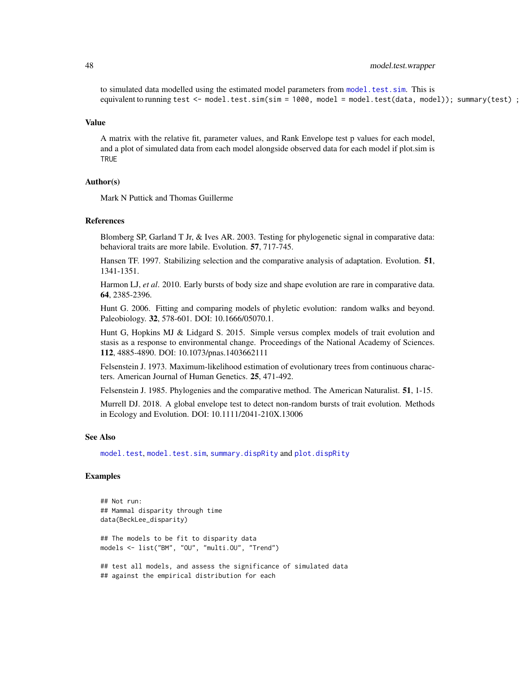<span id="page-47-0"></span>to simulated data modelled using the estimated model parameters from [model.test.sim](#page-43-0). This is equivalent to running test <- model.test.sim(sim = 1000, model = model.test(data, model)); summary(test);

#### Value

A matrix with the relative fit, parameter values, and Rank Envelope test p values for each model, and a plot of simulated data from each model alongside observed data for each model if plot.sim is **TRUE** 

#### Author(s)

Mark N Puttick and Thomas Guillerme

#### References

Blomberg SP, Garland T Jr, & Ives AR. 2003. Testing for phylogenetic signal in comparative data: behavioral traits are more labile. Evolution. 57, 717-745.

Hansen TF. 1997. Stabilizing selection and the comparative analysis of adaptation. Evolution. 51, 1341-1351.

Harmon LJ, *et al*. 2010. Early bursts of body size and shape evolution are rare in comparative data. 64, 2385-2396.

Hunt G. 2006. Fitting and comparing models of phyletic evolution: random walks and beyond. Paleobiology. 32, 578-601. DOI: 10.1666/05070.1.

Hunt G, Hopkins MJ & Lidgard S. 2015. Simple versus complex models of trait evolution and stasis as a response to environmental change. Proceedings of the National Academy of Sciences. 112, 4885-4890. DOI: 10.1073/pnas.1403662111

Felsenstein J. 1973. Maximum-likelihood estimation of evolutionary trees from continuous characters. American Journal of Human Genetics. 25, 471-492.

Felsenstein J. 1985. Phylogenies and the comparative method. The American Naturalist. 51, 1-15.

Murrell DJ. 2018. A global envelope test to detect non-random bursts of trait evolution. Methods in Ecology and Evolution. DOI: 10.1111/2041-210X.13006

#### See Also

[model.test](#page-40-0), [model.test.sim](#page-43-0), [summary.dispRity](#page-64-0) and [plot.dispRity](#page-53-0)

```
## Not run:
## Mammal disparity through time
data(BeckLee_disparity)
## The models to be fit to disparity data
models <- list("BM", "OU", "multi.OU", "Trend")
## test all models, and assess the significance of simulated data
## against the empirical distribution for each
```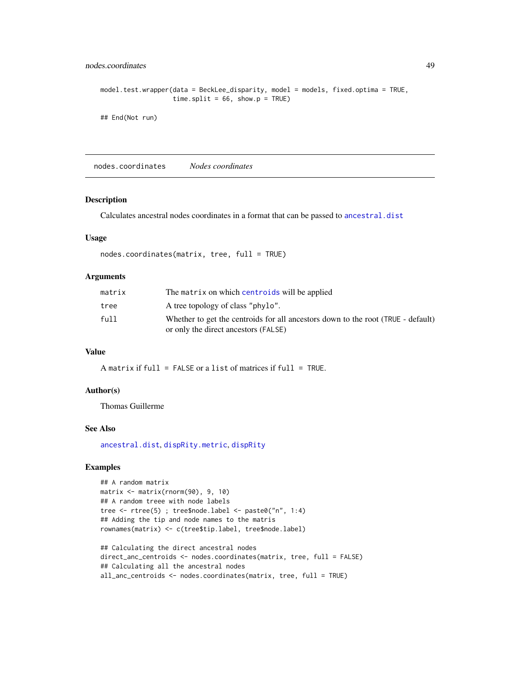```
model.test.wrapper(data = BeckLee_disparity, model = models, fixed.optima = TRUE,
                  time.split = 66, show.p = TRUE)
```

```
## End(Not run)
```
nodes.coordinates *Nodes coordinates*

#### Description

Calculates ancestral nodes coordinates in a format that can be passed to [ancestral.dist](#page-23-1)

## Usage

```
nodes.coordinates(matrix, tree, full = TRUE)
```
## Arguments

| matrix | The matrix on which centroids will be applied                                                                            |
|--------|--------------------------------------------------------------------------------------------------------------------------|
| tree   | A tree topology of class "phylo".                                                                                        |
| full   | Whether to get the centroids for all ancestors down to the root (TRUE - default)<br>or only the direct ancestors (FALSE) |

#### Value

A matrix if full = FALSE or a list of matrices if full = TRUE.

#### Author(s)

Thomas Guillerme

#### See Also

[ancestral.dist](#page-23-1), [dispRity.metric](#page-23-0), [dispRity](#page-21-0)

```
## A random matrix
matrix <- matrix(rnorm(90), 9, 10)
## A random treee with node labels
tree <- rtree(5) ; tree$node.label <- paste0("n", 1:4)
## Adding the tip and node names to the matris
rownames(matrix) <- c(tree$tip.label, tree$node.label)
## Calculating the direct ancestral nodes
direct_anc_centroids <- nodes.coordinates(matrix, tree, full = FALSE)
```

```
## Calculating all the ancestral nodes
all_anc_centroids <- nodes.coordinates(matrix, tree, full = TRUE)
```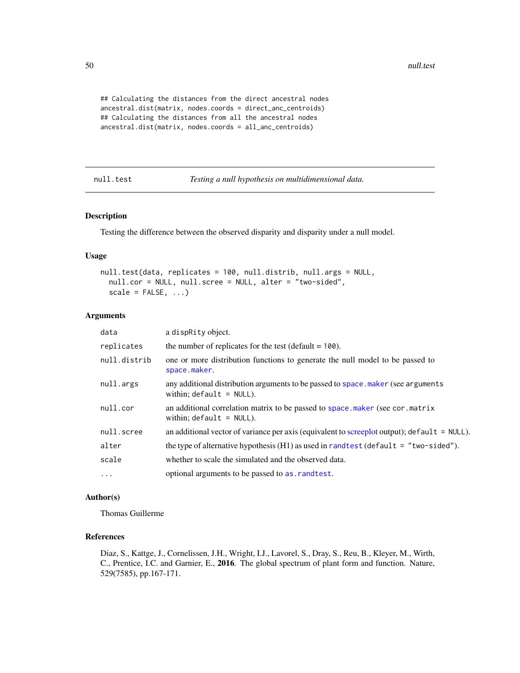```
## Calculating the distances from the direct ancestral nodes
ancestral.dist(matrix, nodes.coords = direct_anc_centroids)
## Calculating the distances from all the ancestral nodes
ancestral.dist(matrix, nodes.coords = all_anc_centroids)
```
<span id="page-49-0"></span>null.test *Testing a null hypothesis on multidimensional data.*

### Description

Testing the difference between the observed disparity and disparity under a null model.

#### Usage

```
null.test(data, replicates = 100, null.distrib, null.args = NULL,
  null.cor = NULL, null.scree = NULL, alter = "two-sided",
  scale = FALSE, ...)
```
#### Arguments

| data         | a dispraty object.                                                                                              |
|--------------|-----------------------------------------------------------------------------------------------------------------|
| replicates   | the number of replicates for the test (default $= 100$ ).                                                       |
| null.distrib | one or more distribution functions to generate the null model to be passed to<br>space.maker.                   |
| null.args    | any additional distribution arguments to be passed to space maker (see arguments<br>within; $default = NULL$ ). |
| null.cor     | an additional correlation matrix to be passed to space maker (see cor. matrix<br>within; $default = NULL$ ).    |
| null.scree   | an additional vector of variance per axis (equivalent to screeplot output); default = $NULL$ ).                 |
| alter        | the type of alternative hypothesis $(H1)$ as used in randtest (default = "two-sided").                          |
| scale        | whether to scale the simulated and the observed data.                                                           |
| $\cdots$     | optional arguments to be passed to as . rand test.                                                              |

## Author(s)

Thomas Guillerme

## References

Diaz, S., Kattge, J., Cornelissen, J.H., Wright, I.J., Lavorel, S., Dray, S., Reu, B., Kleyer, M., Wirth, C., Prentice, I.C. and Garnier, E., 2016. The global spectrum of plant form and function. Nature, 529(7585), pp.167-171.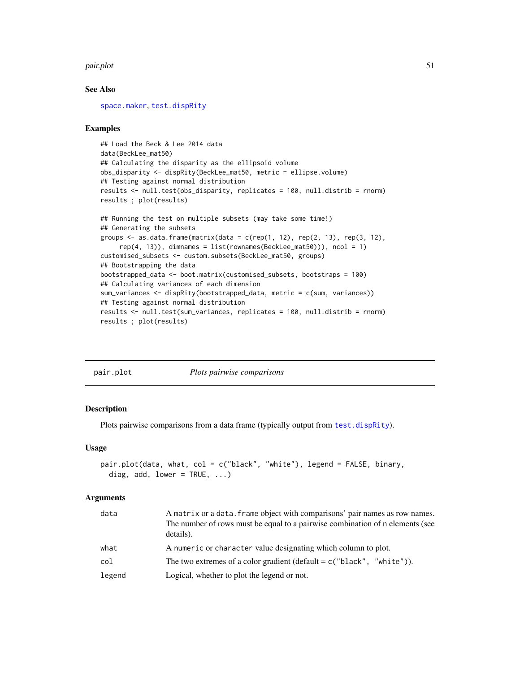#### <span id="page-50-1"></span>pair.plot 51

#### See Also

[space.maker](#page-63-0), [test.dispRity](#page-66-0)

#### Examples

```
## Load the Beck & Lee 2014 data
data(BeckLee_mat50)
## Calculating the disparity as the ellipsoid volume
obs_disparity <- dispRity(BeckLee_mat50, metric = ellipse.volume)
## Testing against normal distribution
results <- null.test(obs_disparity, replicates = 100, null.distrib = rnorm)
results ; plot(results)
## Running the test on multiple subsets (may take some time!)
## Generating the subsets
groups \leq as.data.frame(matrix(data = c(rep(1, 12), rep(2, 13), rep(3, 12),
     rep(4, 13), dimnames = list(rownames(BeckLee_mat50))), ncol = 1)
```

```
customised_subsets <- custom.subsets(BeckLee_mat50, groups)
## Bootstrapping the data
bootstrapped_data <- boot.matrix(customised_subsets, bootstraps = 100)
## Calculating variances of each dimension
sum_variances <- dispRity(bootstrapped_data, metric = c(sum, variances))
## Testing against normal distribution
results <- null.test(sum_variances, replicates = 100, null.distrib = rnorm)
results ; plot(results)
```
<span id="page-50-0"></span>

|--|

#### Description

Plots pairwise comparisons from a data frame (typically output from [test.dispRity](#page-66-0)).

*Plots pairwise comparisons* 

#### Usage

```
pair.plot(data, what, col = c("black", "white"), legend = FALSE, binary,
  diag, add, lower = TRUE, ...)
```
#### Arguments

| data   | A matrix or a data. frame object with comparisons' pair names as row names.<br>The number of rows must be equal to a pairwise combination of n elements (see<br>details). |
|--------|---------------------------------------------------------------------------------------------------------------------------------------------------------------------------|
| what   | A numeric or character value designating which column to plot.                                                                                                            |
| col    | The two extremes of a color gradient (default = $c$ ("black", "white")).                                                                                                  |
| legend | Logical, whether to plot the legend or not.                                                                                                                               |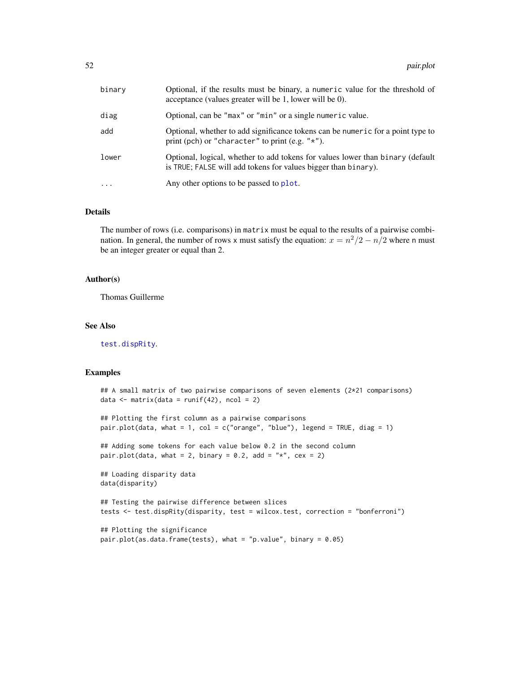<span id="page-51-0"></span>

| binary    | Optional, if the results must be binary, a numeric value for the threshold of<br>acceptance (values greater will be 1, lower will be 0).         |
|-----------|--------------------------------------------------------------------------------------------------------------------------------------------------|
| diag      | Optional, can be "max" or "min" or a single numeric value.                                                                                       |
| add       | Optional, whether to add significance tokens can be numeric for a point type to<br>print (pch) or "character" to print (e.g. " $\star$ ").       |
| lower     | Optional, logical, whether to add tokens for values lower than binary (default<br>is TRUE; FALSE will add tokens for values bigger than binary). |
| $\ddotsc$ | Any other options to be passed to plot.                                                                                                          |

#### Details

The number of rows (i.e. comparisons) in matrix must be equal to the results of a pairwise combination. In general, the number of rows x must satisfy the equation:  $x = n^2/2 - n/2$  where n must be an integer greater or equal than 2.

#### Author(s)

Thomas Guillerme

#### See Also

[test.dispRity](#page-66-0).

```
## A small matrix of two pairwise comparisons of seven elements (2*21 comparisons)
data \leq matrix(data = runif(42), ncol = 2)
## Plotting the first column as a pairwise comparisons
pair.plot(data, what = 1, col = c("orange", "blue"), legend = TRUE, diag = 1)
## Adding some tokens for each value below 0.2 in the second column
pair.plot(data, what = 2, binary = 0.2, add = "*", cex = 2)
## Loading disparity data
data(disparity)
## Testing the pairwise difference between slices
tests <- test.dispRity(disparity, test = wilcox.test, correction = "bonferroni")
## Plotting the significance
pair.plot(as.data.frame(tests), what = "p.value", binary = 0.05)
```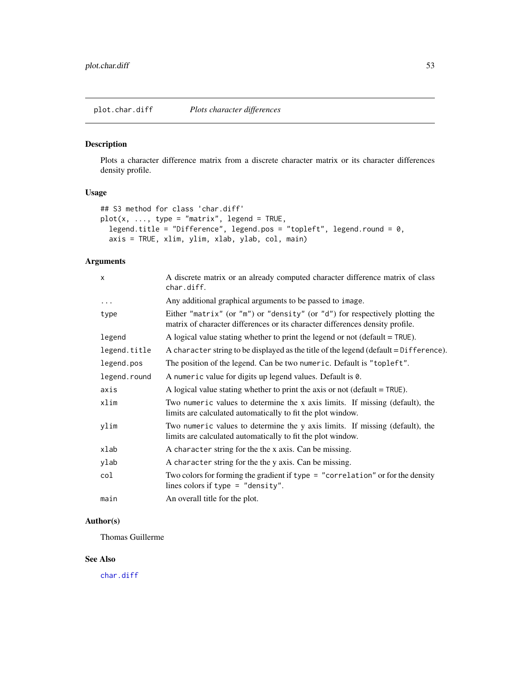<span id="page-52-0"></span>Plots a character difference matrix from a discrete character matrix or its character differences density profile.

# Usage

```
## S3 method for class 'char.diff'
plot(x, ..., type = "matrix", legend = TRUE,legend.title = "Difference", legend.pos = "topleft", legend.round = 0,
  axis = TRUE, xlim, ylim, xlab, ylab, col, main)
```
# Arguments

| X            | A discrete matrix or an already computed character difference matrix of class<br>char.diff.                                                                   |
|--------------|---------------------------------------------------------------------------------------------------------------------------------------------------------------|
| $\cdots$     | Any additional graphical arguments to be passed to image.                                                                                                     |
| type         | Either "matrix" (or "m") or "density" (or "d") for respectively plotting the<br>matrix of character differences or its character differences density profile. |
| legend       | A logical value stating whether to print the legend or not (default $=$ TRUE).                                                                                |
| legend.title | A character string to be displayed as the title of the legend (default = Difference).                                                                         |
| legend.pos   | The position of the legend. Can be two numeric. Default is "topleft".                                                                                         |
| legend.round | A numeric value for digits up legend values. Default is 0.                                                                                                    |
| axis         | A logical value stating whether to print the axis or not (default $=$ TRUE).                                                                                  |
| xlim         | Two numeric values to determine the x axis limits. If missing (default), the<br>limits are calculated automatically to fit the plot window.                   |
| ylim         | Two numeric values to determine the y axis limits. If missing (default), the<br>limits are calculated automatically to fit the plot window.                   |
| xlab         | A character string for the the x axis. Can be missing.                                                                                                        |
| ylab         | A character string for the the y axis. Can be missing.                                                                                                        |
| col          | Two colors for forming the gradient if type $=$ "correlation" or for the density<br>lines colors if type = "density".                                         |
| main         | An overall title for the plot.                                                                                                                                |

## Author(s)

Thomas Guillerme

#### See Also

[char.diff](#page-10-0)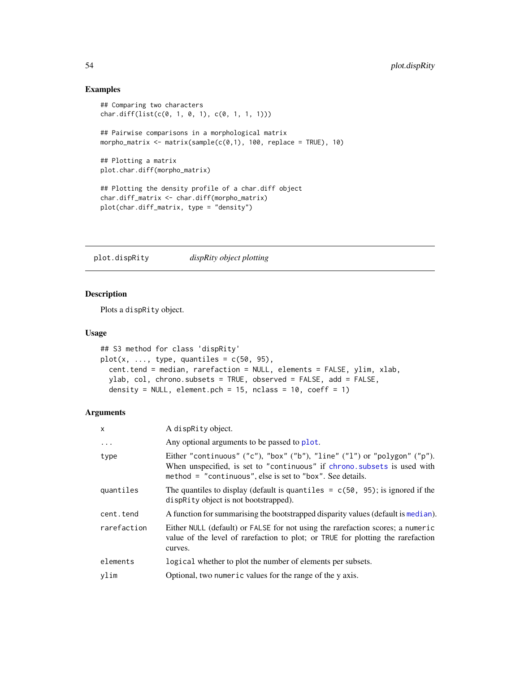### Examples

```
## Comparing two characters
char.diff(list(c(0, 1, 0, 1), c(0, 1, 1, 1)))
## Pairwise comparisons in a morphological matrix
morpho_matrix <- matrix(sample(c(0,1), 100, replace = TRUE), 10)
## Plotting a matrix
plot.char.diff(morpho_matrix)
## Plotting the density profile of a char.diff object
char.diff_matrix <- char.diff(morpho_matrix)
plot(char.diff_matrix, type = "density")
```
<span id="page-53-0"></span>plot.dispRity *dispRity object plotting*

## Description

Plots a dispRity object.

#### Usage

```
## S3 method for class 'dispRity'
plot(x, ..., type, quantiles = c(50, 95),cent.tend = median, rarefaction = NULL, elements = FALSE, ylim, xlab,
 ylab, col, chrono.subsets = TRUE, observed = FALSE, add = FALSE,
  density = NULL, element.pch = 15, nclass = 10, coeff = 1)
```
#### Arguments

| X           | A dispRity object.                                                                                                                                                                                                |
|-------------|-------------------------------------------------------------------------------------------------------------------------------------------------------------------------------------------------------------------|
| $\ddots$ .  | Any optional arguments to be passed to plot.                                                                                                                                                                      |
| type        | Either "continuous" ("c"), "box" ("b"), "line" ("l") or "polygon" ("p").<br>When unspecified, is set to "continuous" if chrono. subsets is used with<br>method = "continuous", else is set to "box". See details. |
| quantiles   | The quantiles to display (default is quantiles = $c(50, 95)$ ; is ignored if the<br>disprity object is not bootstrapped).                                                                                         |
| cent.tend   | A function for summarising the bootstrapped disparity values (default is median).                                                                                                                                 |
| rarefaction | Either NULL (default) or FALSE for not using the rarefaction scores; a numeric<br>value of the level of rarefaction to plot; or TRUE for plotting the rarefaction<br>curves.                                      |
| elements    | logical whether to plot the number of elements per subsets.                                                                                                                                                       |
| ylim        | Optional, two numeric values for the range of the y axis.                                                                                                                                                         |

<span id="page-53-1"></span>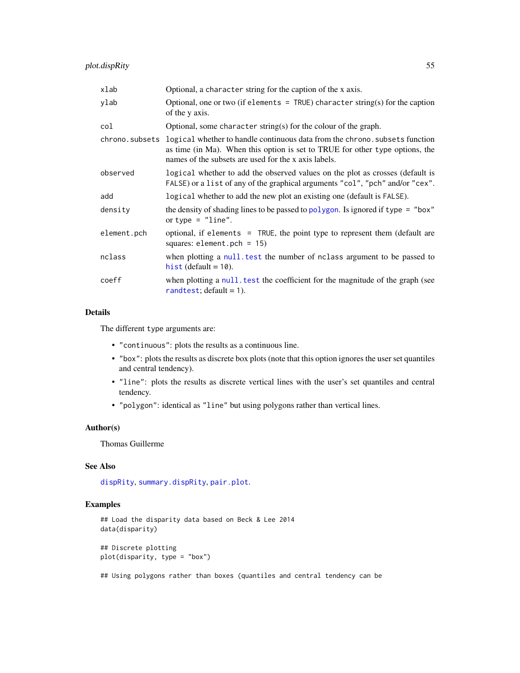<span id="page-54-0"></span>

| xlab        | Optional, a character string for the caption of the x axis.                                                                                                                                                                         |
|-------------|-------------------------------------------------------------------------------------------------------------------------------------------------------------------------------------------------------------------------------------|
| ylab        | Optional, one or two (if elements $=$ TRUE) character string(s) for the caption<br>of the y axis.                                                                                                                                   |
| col         | Optional, some character string(s) for the colour of the graph.                                                                                                                                                                     |
|             | chrono. subsets logical whether to handle continuous data from the chrono. subsets function<br>as time (in Ma). When this option is set to TRUE for other type options, the<br>names of the subsets are used for the x axis labels. |
| observed    | logical whether to add the observed values on the plot as crosses (default is<br>FALSE) or a list of any of the graphical arguments "col", "pch" and/or "cex".                                                                      |
| add         | logical whether to add the new plot an existing one (default is FALSE).                                                                                                                                                             |
| density     | the density of shading lines to be passed to polygon. Is ignored if type = "box"<br>or type $=$ "line".                                                                                                                             |
| element.pch | optional, if elements = TRUE, the point type to represent them (default are<br>squares: element.pch = $15$ )                                                                                                                        |
| nclass      | when plotting a null test the number of notices are approached to be passed to<br>hist (default $= 10$ ).                                                                                                                           |
| coeff       | when plotting a null test the coefficient for the magnitude of the graph (see<br>rand test; $default = 1$ ).                                                                                                                        |

# Details

The different type arguments are:

- "continuous": plots the results as a continuous line.
- "box": plots the results as discrete box plots (note that this option ignores the user set quantiles and central tendency).
- "line": plots the results as discrete vertical lines with the user's set quantiles and central tendency.
- "polygon": identical as "line" but using polygons rather than vertical lines.

#### Author(s)

Thomas Guillerme

#### See Also

[dispRity](#page-21-0), [summary.dispRity](#page-64-0), [pair.plot](#page-50-0).

## Examples

```
## Load the disparity data based on Beck & Lee 2014
data(disparity)
```
## Discrete plotting plot(disparity, type = "box")

## Using polygons rather than boxes (quantiles and central tendency can be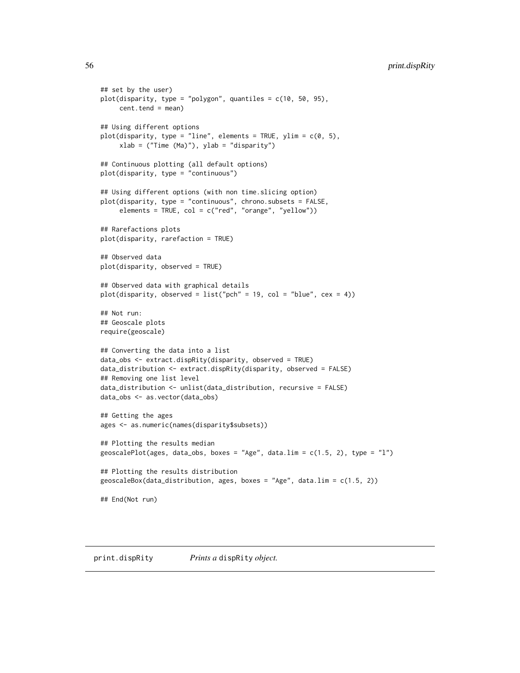```
## set by the user)
plot(disparity, type = "polygon", quantiles = c(10, 50, 95),
    cent.tend = mean)
## Using different options
plot(disparity, type = "line", elements = TRUE, ylim = c(0, 5),
     xlab = ("Time (Ma)"), ylab = "disparity")
## Continuous plotting (all default options)
plot(disparity, type = "continuous")
## Using different options (with non time.slicing option)
plot(disparity, type = "continuous", chrono.subsets = FALSE,
     elements = TRUE, col = c("red", "orange", "yellow"))
## Rarefactions plots
plot(disparity, rarefaction = TRUE)
## Observed data
plot(disparity, observed = TRUE)
## Observed data with graphical details
plot(disparity, observed = list("pch" = 19, col = "blue", cex = 4))
## Not run:
## Geoscale plots
require(geoscale)
## Converting the data into a list
data_obs <- extract.dispRity(disparity, observed = TRUE)
data_distribution <- extract.dispRity(disparity, observed = FALSE)
## Removing one list level
data_distribution <- unlist(data_distribution, recursive = FALSE)
data_obs <- as.vector(data_obs)
## Getting the ages
ages <- as.numeric(names(disparity$subsets))
## Plotting the results median
geoscalePlot(ages, data_obs, boxes = "Age", data.lim = c(1.5, 2), type = "l")
## Plotting the results distribution
geoscaleBox(data_distribution, ages, boxes = "Age", data.lim = c(1.5, 2))
## End(Not run)
```
print.dispRity *Prints a* dispRity *object.*

<span id="page-55-0"></span>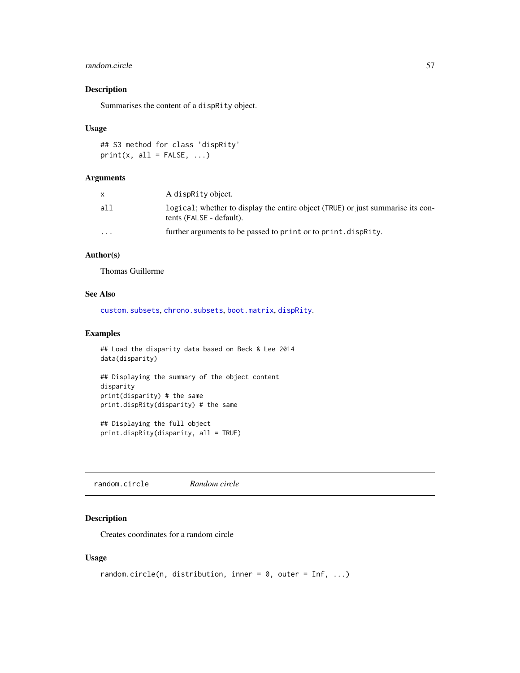## <span id="page-56-0"></span>random.circle 57

## Description

Summarises the content of a dispRity object.

#### Usage

```
## S3 method for class 'dispRity'
print(x, all = FALSE, ...)
```
#### Arguments

|                         | A dispraity object.                                                                                         |
|-------------------------|-------------------------------------------------------------------------------------------------------------|
| all                     | logical; whether to display the entire object (TRUE) or just summarise its con-<br>tents (FALSE - default). |
| $\cdot$ $\cdot$ $\cdot$ | further arguments to be passed to print or to print. dispracty.                                             |

## Author(s)

Thomas Guillerme

## See Also

[custom.subsets](#page-18-0), [chrono.subsets](#page-12-0), [boot.matrix](#page-8-0), [dispRity](#page-21-0).

#### Examples

```
## Load the disparity data based on Beck & Lee 2014
data(disparity)
## Displaying the summary of the object content
disparity
print(disparity) # the same
print.dispRity(disparity) # the same
```
## Displaying the full object print.dispRity(disparity, all = TRUE)

random.circle *Random circle*

## Description

Creates coordinates for a random circle

## Usage

```
random.circle(n, distribution, inner = 0, outer = Inf, ...)
```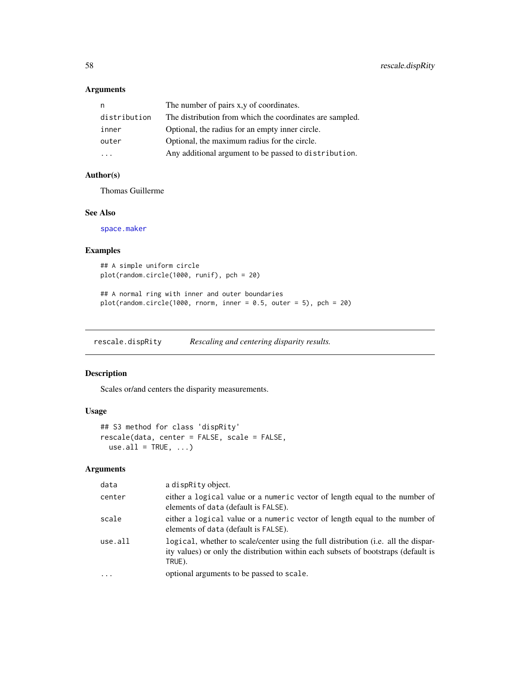## <span id="page-57-0"></span>Arguments

| n            | The number of pairs x, y of coordinates.                 |
|--------------|----------------------------------------------------------|
| distribution | The distribution from which the coordinates are sampled. |
| inner        | Optional, the radius for an empty inner circle.          |
| outer        | Optional, the maximum radius for the circle.             |
| .            | Any additional argument to be passed to distribution.    |

## Author(s)

Thomas Guillerme

#### See Also

[space.maker](#page-63-0)

## Examples

```
## A simple uniform circle
plot(random.circle(1000, runif), pch = 20)
```

```
## A normal ring with inner and outer boundaries
plot(random.circle(1000, rnorm, inner = 0.5, outer = 5), pch = 20)
```
rescale.dispRity *Rescaling and centering disparity results.*

## Description

Scales or/and centers the disparity measurements.

## Usage

```
## S3 method for class 'dispRity'
rescale(data, center = FALSE, scale = FALSE,
 use.all = TRUE, ...)
```
# Arguments

| data     | a dispRity object.                                                                                                                                                                 |
|----------|------------------------------------------------------------------------------------------------------------------------------------------------------------------------------------|
| center   | either a logical value or a numeric vector of length equal to the number of<br>elements of data (default is FALSE).                                                                |
| scale    | either a logical value or a numeric vector of length equal to the number of<br>elements of data (default is FALSE).                                                                |
| use.all  | logical, whether to scale/center using the full distribution (i.e. all the dispar-<br>ity values) or only the distribution within each subsets of bootstraps (default is<br>TRUE). |
| $\cdots$ | optional arguments to be passed to scale.                                                                                                                                          |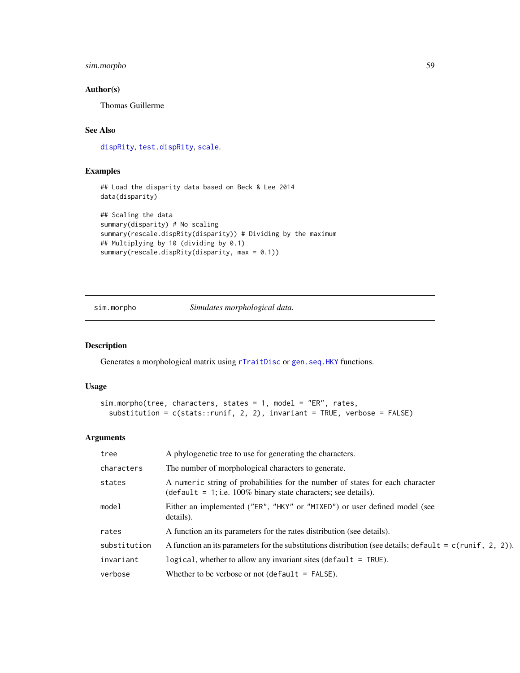## <span id="page-58-0"></span>sim.morpho 59

## Author(s)

Thomas Guillerme

## See Also

[dispRity](#page-21-0), [test.dispRity](#page-66-0), [scale](#page-0-0).

## Examples

```
## Load the disparity data based on Beck & Lee 2014
data(disparity)
```

```
## Scaling the data
summary(disparity) # No scaling
summary(rescale.dispRity(disparity)) # Dividing by the maximum
## Multiplying by 10 (dividing by 0.1)
summary(rescale.dispRity(disparity, max = 0.1))
```
sim.morpho *Simulates morphological data.*

#### Description

Generates a morphological matrix using [rTraitDisc](#page-0-0) or [gen.seq.HKY](#page-0-0) functions.

#### Usage

```
sim.morpho(tree, characters, states = 1, model = "ER", rates,
  substitution = c(stats::runif, 2, 2), invariant = TRUE, verbose = FALSE)
```
#### Arguments

| tree         | A phylogenetic tree to use for generating the characters.                                                                                                |
|--------------|----------------------------------------------------------------------------------------------------------------------------------------------------------|
| characters   | The number of morphological characters to generate.                                                                                                      |
| states       | A numeric string of probabilities for the number of states for each character<br>$\theta$ (default = 1; i.e. 100% binary state characters; see details). |
| model        | Either an implemented ("ER", "HKY" or "MIXED") or user defined model (see<br>details).                                                                   |
| rates        | A function an its parameters for the rates distribution (see details).                                                                                   |
| substitution | A function an its parameters for the substitutions distribution (see details; default = $c$ (runif, 2, 2)).                                              |
| invariant    | logical, whether to allow any invariant sites (default $=$ TRUE).                                                                                        |
| verbose      | Whether to be verbose or not (default $=$ FALSE).                                                                                                        |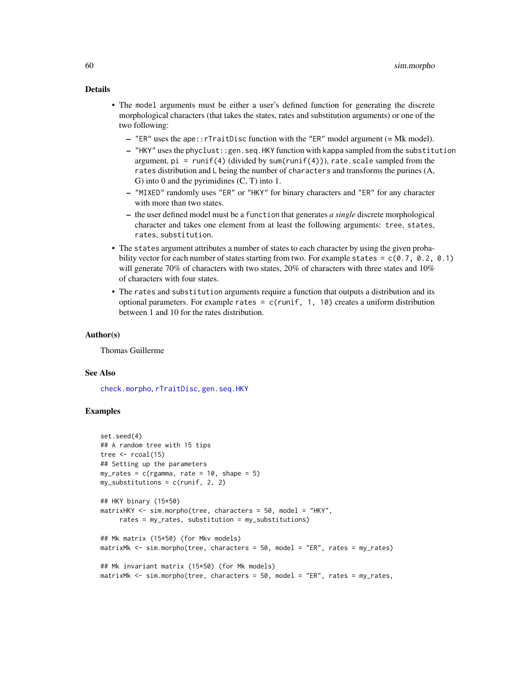#### <span id="page-59-0"></span>Details

- The model arguments must be either a user's defined function for generating the discrete morphological characters (that takes the states, rates and substitution arguments) or one of the two following:
	- $-$  "ER" uses the ape::rTraitDisc function with the "ER" model argument (= Mk model).
	- "HKY" uses the phyclust::gen.seq.HKY function with kappa sampled from the substitution argument,  $pi = runif(4)$  (divided by sum(runif(4))), rate.scale sampled from the rates distribution and L being the number of characters and transforms the purines (A, G) into 0 and the pyrimidines (C, T) into 1.
	- "MIXED" randomly uses "ER" or "HKY" for binary characters and "ER" for any character with more than two states.
	- the user defined model must be a function that generates *a single* discrete morphological character and takes one element from at least the following arguments: tree, states, rates, substitution.
- The states argument attributes a number of states to each character by using the given probability vector for each number of states starting from two. For example states =  $c(0.7, 0.2, 0.1)$ will generate 70% of characters with two states, 20% of characters with three states and 10% of characters with four states.
- The rates and substitution arguments require a function that outputs a distribution and its optional parameters. For example rates =  $c$ (runif, 1, 10) creates a uniform distribution between 1 and 10 for the rates distribution.

#### Author(s)

Thomas Guillerme

#### See Also

[check.morpho](#page-11-0), [rTraitDisc](#page-0-0), [gen.seq.HKY](#page-0-0)

```
set.seed(4)
## A random tree with 15 tips
tree \le rcoal(15)
## Setting up the parameters
my\_rates = c(rgamma, rate = 10, shape = 5)my\_substitutions = c(runif, 2, 2)## HKY binary (15*50)
matrixHKY <- sim.morpho(tree, characters = 50, model = "HKY",
     rates = my_rates, substitution = my_substitutions)
## Mk matrix (15*50) (for Mkv models)
matrixMk <- sim.morpho(tree, characters = 50, model = "ER", rates = my_rates)
## Mk invariant matrix (15*50) (for Mk models)
matrixMk <- sim.morpho(tree, characters = 50, model = "ER", rates = my_rates,
```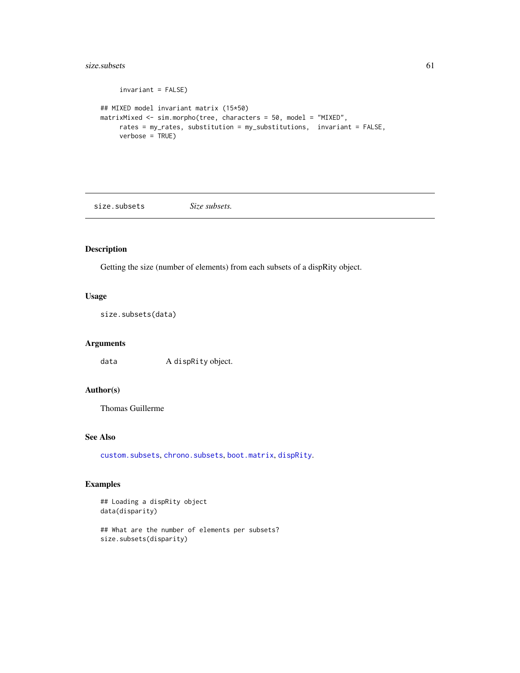#### <span id="page-60-0"></span> $size$ .subsets 61

```
invariant = FALSE)
## MIXED model invariant matrix (15*50)
matrixMixed <- sim.morpho(tree, characters = 50, model = "MIXED",
     rates = my_rates, substitution = my_substitutions, invariant = FALSE,
     verbose = TRUE)
```
size.subsets *Size subsets.*

## Description

Getting the size (number of elements) from each subsets of a dispRity object.

## Usage

size.subsets(data)

## Arguments

data A dispRity object.

## Author(s)

Thomas Guillerme

## See Also

[custom.subsets](#page-18-0), [chrono.subsets](#page-12-0), [boot.matrix](#page-8-0), [dispRity](#page-21-0).

```
## Loading a dispRity object
data(disparity)
```

```
## What are the number of elements per subsets?
size.subsets(disparity)
```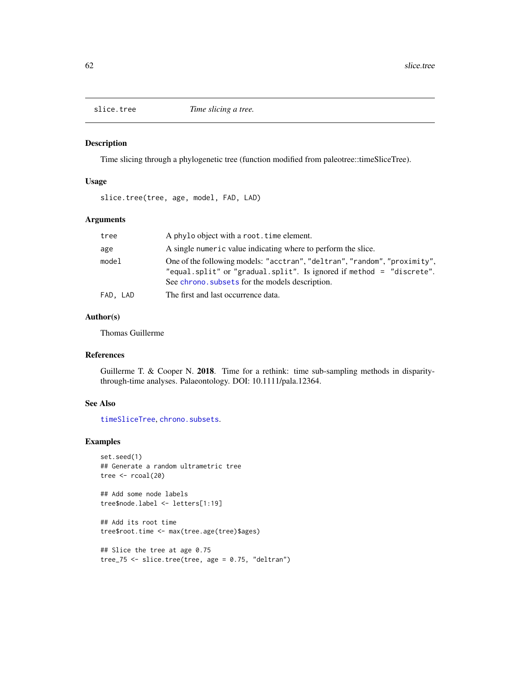<span id="page-61-1"></span><span id="page-61-0"></span>

Time slicing through a phylogenetic tree (function modified from paleotree::timeSliceTree).

## Usage

slice.tree(tree, age, model, FAD, LAD)

## Arguments

| tree     | A phylo object with a root. time element.                                                                                                                                                            |
|----------|------------------------------------------------------------------------------------------------------------------------------------------------------------------------------------------------------|
| age      | A single numeric value indicating where to perform the slice.                                                                                                                                        |
| model    | One of the following models: "acctran", "deltran", "random", "proximity",<br>"equal.split" or "gradual.split". Is ignored if method = "discrete".<br>See chrono, subsets for the models description. |
| FAD, LAD | The first and last occurrence data.                                                                                                                                                                  |

## Author(s)

Thomas Guillerme

# References

Guillerme T. & Cooper N. 2018. Time for a rethink: time sub-sampling methods in disparitythrough-time analyses. Palaeontology. DOI: 10.1111/pala.12364.

## See Also

[timeSliceTree](#page-0-0), [chrono.subsets](#page-12-0).

#### Examples

```
set.seed(1)
## Generate a random ultrametric tree
tree \le rcoal(20)
```
## Add some node labels tree\$node.label <- letters[1:19]

## Add its root time tree\$root.time <- max(tree.age(tree)\$ages)

```
## Slice the tree at age 0.75
tree_75 <- slice.tree(tree, age = 0.75, "deltran")
```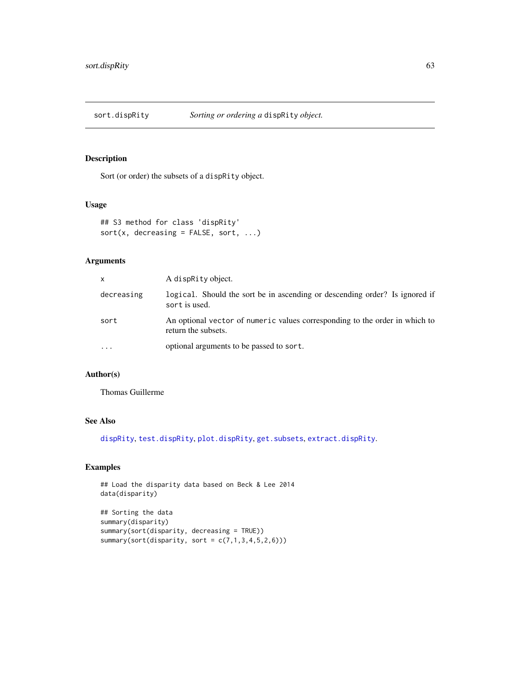<span id="page-62-0"></span>

Sort (or order) the subsets of a dispRity object.

## Usage

```
## S3 method for class 'dispRity'
sort(x, decreasing = FALSE, sort, ...)
```
## Arguments

| X          | A dispraty object.                                                                                 |
|------------|----------------------------------------------------------------------------------------------------|
| decreasing | logical. Should the sort be in ascending or descending order? Is ignored if<br>sort is used.       |
| sort       | An optional vector of numeric values corresponding to the order in which to<br>return the subsets. |
| $\ddotsc$  | optional arguments to be passed to sort.                                                           |

# Author(s)

Thomas Guillerme

## See Also

[dispRity](#page-21-0), [test.dispRity](#page-66-0), [plot.dispRity](#page-53-0), [get.subsets](#page-36-0), [extract.dispRity](#page-31-0).

## Examples

## Load the disparity data based on Beck & Lee 2014 data(disparity)

```
## Sorting the data
summary(disparity)
summary(sort(disparity, decreasing = TRUE))
summary(sort(disparity, sort = c(7,1,3,4,5,2,6)))
```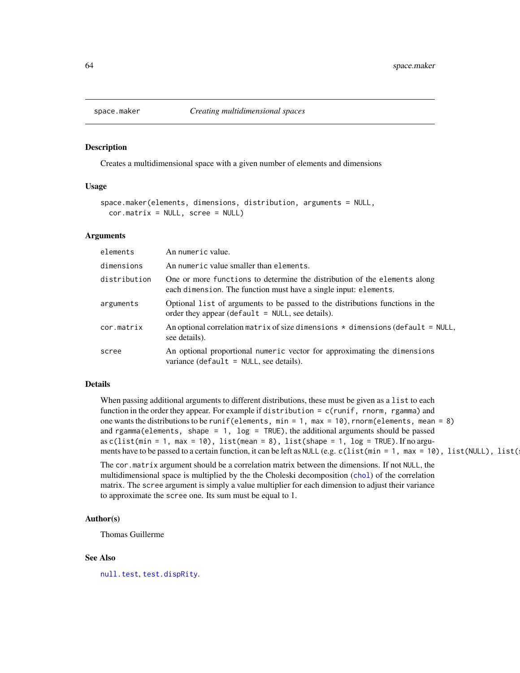<span id="page-63-1"></span><span id="page-63-0"></span>

Creates a multidimensional space with a given number of elements and dimensions

## Usage

```
space.maker(elements, dimensions, distribution, arguments = NULL,
  cor.matrix = NULL, <math>screen = NULL</math>)
```
#### Arguments

| elements     | An numeric value.                                                                                                                             |
|--------------|-----------------------------------------------------------------------------------------------------------------------------------------------|
| dimensions   | An numeric value smaller than elements.                                                                                                       |
| distribution | One or more functions to determine the distribution of the elements along<br>each dimension. The function must have a single input: elements. |
| arguments    | Optional list of arguments to be passed to the distributions functions in the<br>order they appear (default $=$ NULL, see details).           |
| cor.matrix   | An optional correlation matrix of size dimensions $\star$ dimensions (default = NULL,<br>see details).                                        |
| scree        | An optional proportional numeric vector for approximating the dimensions<br>variance (default = $NULL$ , see details).                        |

## Details

When passing additional arguments to different distributions, these must be given as a list to each function in the order they appear. For example if distribution = c(runif, rnorm, rgamma) and one wants the distributions to be runif(elements,  $min = 1$ ,  $max = 10$ ), rnorm(elements, mean = 8) and rgamma(elements, shape =  $1$ , log = TRUE), the additional arguments should be passed as c(list(min = 1, max = 10), list(mean = 8), list(shape = 1, log = TRUE). If no arguments have to be passed to a certain function, it can be left as NULL (e.g. c(list(min = 1, max = 10), list(NULL), list(

The cor.matrix argument should be a correlation matrix between the dimensions. If not NULL, the multidimensional space is multiplied by the the Choleski decomposition ([chol](#page-0-0)) of the correlation matrix. The scree argument is simply a value multiplier for each dimension to adjust their variance to approximate the scree one. Its sum must be equal to 1.

## Author(s)

Thomas Guillerme

#### See Also

[null.test](#page-49-0), [test.dispRity](#page-66-0).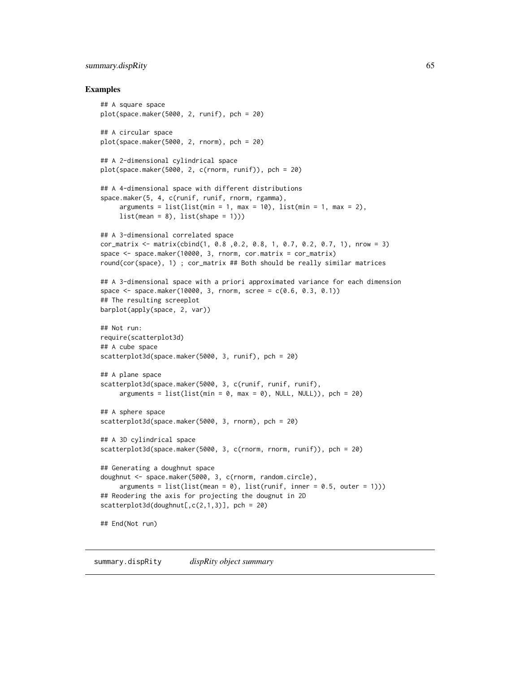#### <span id="page-64-1"></span>summary.dispRity 65

#### Examples

```
## A square space
plot(space.maker(5000, 2, runif), pch = 20)
## A circular space
plot(space.maker(5000, 2, rnorm), pch = 20)
## A 2-dimensional cylindrical space
plot(space.maker(5000, 2, c(rnorm, runif)), pch = 20)
## A 4-dimensional space with different distributions
space.maker(5, 4, c(runif, runif, rnorm, rgamma),
     arguments = list(list(min = 1, max = 10), list(min = 1, max = 2),list(\text{mean} = 8), list(\text{shape} = 1)))## A 3-dimensional correlated space
cor_matrix <- matrix(cbind(1, 0.8 ,0.2, 0.8, 1, 0.7, 0.2, 0.7, 1), nrow = 3)
space <- space.maker(10000, 3, rnorm, cor.matrix = cor_matrix)
round(cor(space), 1) ; cor_matrix ## Both should be really similar matrices
## A 3-dimensional space with a priori approximated variance for each dimension
space <- space.maker(10000, 3, rnorm, scree = c(0.6, 0.3, 0.1))
## The resulting screeplot
barplot(apply(space, 2, var))
## Not run:
require(scatterplot3d)
## A cube space
scatterplot3d(space.maker(5000, 3, runif), pch = 20)
## A plane space
scatterplot3d(space.maker(5000, 3, c(runif, runif, runif),
     arguments = list(list(min = 0, max = 0), NULL, NULL)), pch = 20)## A sphere space
scatterplot3d(space.maker(5000, 3, rnorm), pch = 20)
## A 3D cylindrical space
scatterplot3d(space.maker(5000, 3, c(rnorm, rnorm, runif)), pch = 20)
## Generating a doughnut space
doughnut <- space.maker(5000, 3, c(rnorm, random.circle),
     arguments = list(list(mean = 0), list(runif, inner = 0.5, outer = 1)))## Reodering the axis for projecting the dougnut in 2D
scatterplot3d(doughnut[,c(2,1,3)], pch = 20)
## End(Not run)
```
<span id="page-64-0"></span>summary.dispRity *dispRity object summary*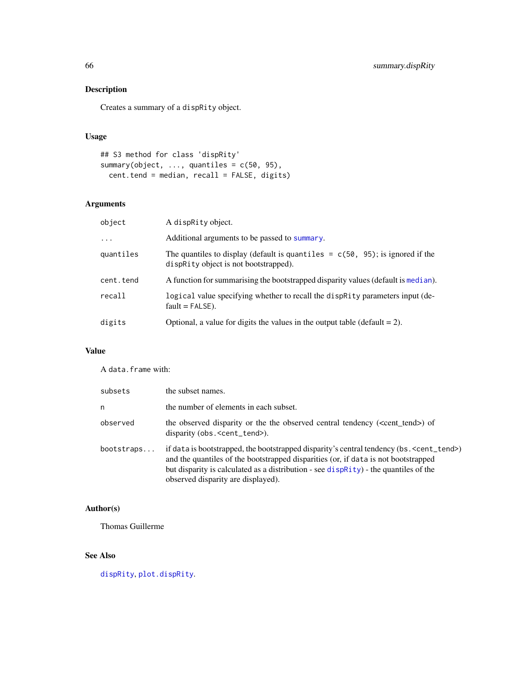Creates a summary of a dispRity object.

## Usage

```
## S3 method for class 'dispRity'
summary(object, ..., quantiles = c(50, 95),
 cent.tend = median, recall = FALSE, digits)
```
# Arguments

| object    | A dispraity object.                                                                                                       |
|-----------|---------------------------------------------------------------------------------------------------------------------------|
| $\cdots$  | Additional arguments to be passed to summary.                                                                             |
| quantiles | The quantiles to display (default is quantiles $= c(50, 95)$ ; is ignored if the<br>disprity object is not bootstrapped). |
| cent.tend | A function for summarising the bootstrapped disparity values (default is median).                                         |
| recall    | logical value specifying whether to recall the dispractive parameters input (de-<br>$fault = FALSE$ ).                    |
| digits    | Optional, a value for digits the values in the output table (default $= 2$ ).                                             |

# Value

A data.frame with:

| subsets    | the subset names.                                                                                                                                                                                                                                                                                                                               |
|------------|-------------------------------------------------------------------------------------------------------------------------------------------------------------------------------------------------------------------------------------------------------------------------------------------------------------------------------------------------|
| n          | the number of elements in each subset.                                                                                                                                                                                                                                                                                                          |
| observed   | the observed disparity or the the observed central tendency ( <cent tend="">) of<br/>disparity (obs.<cent_tend>).</cent_tend></cent>                                                                                                                                                                                                            |
| bootstraps | if data is bootstrapped, the bootstrapped disparity's central tendency (bs. <cent_tend>)<br/>and the quantiles of the bootstrapped disparities (or, if data is not bootstrapped<br/>but disparity is calculated as a distribution - see <math>\text{dispRity}</math>) - the quantiles of the<br/>observed disparity are displayed).</cent_tend> |

# Author(s)

Thomas Guillerme

# See Also

[dispRity](#page-21-0), [plot.dispRity](#page-53-0).

<span id="page-65-0"></span>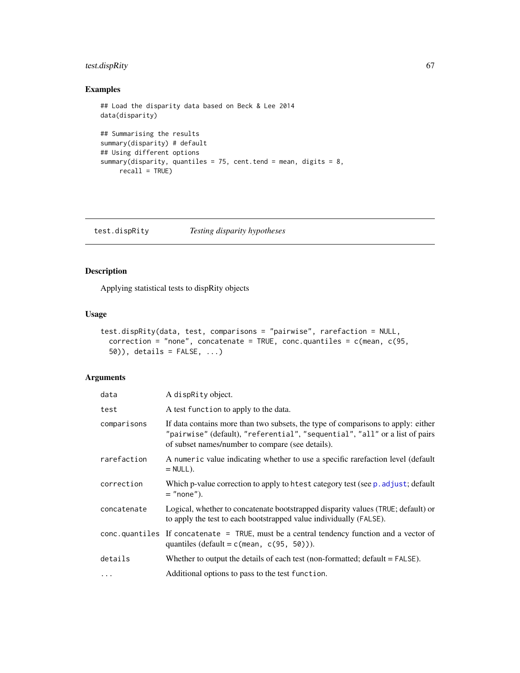## <span id="page-66-1"></span>test.dispRity 67

## Examples

```
## Load the disparity data based on Beck & Lee 2014
data(disparity)
## Summarising the results
summary(disparity) # default
## Using different options
summary(disparity, quantiles = 75, cent.tend = mean, digits = 8,
    recall = TRUE)
```
<span id="page-66-0"></span>test.dispRity *Testing disparity hypotheses*

## Description

Applying statistical tests to dispRity objects

## Usage

```
test.dispRity(data, test, comparisons = "pairwise", rarefaction = NULL,
 correction = "none", concatenate = TRUE, conc.quantiles = c(mean, c(95,
 50)), details = FALSE, ...)
```
## Arguments

| data        | A dispRity object.                                                                                                                                                                                                  |
|-------------|---------------------------------------------------------------------------------------------------------------------------------------------------------------------------------------------------------------------|
| test        | A test function to apply to the data.                                                                                                                                                                               |
| comparisons | If data contains more than two subsets, the type of comparisons to apply: either<br>"pairwise" (default), "referential", "sequential", "all" or a list of pairs<br>of subset names/number to compare (see details). |
| rarefaction | A numeric value indicating whether to use a specific rarefaction level (default<br>$=$ NULL $).$                                                                                                                    |
| correction  | Which p-value correction to apply to htest category test (see p. adjust; default<br>$=$ "none").                                                                                                                    |
| concatenate | Logical, whether to concatenate bootstrapped disparity values (TRUE; default) or<br>to apply the test to each bootstrapped value individually (FALSE).                                                              |
|             | conc.quantiles If concatenate = TRUE, must be a central tendency function and a vector of<br>quantiles (default = $c$ (mean, $c(95, 50)$ ).                                                                         |
| details     | Whether to output the details of each test (non-formatted; $default = FALSE$ ).                                                                                                                                     |
| $\cdots$    | Additional options to pass to the test function.                                                                                                                                                                    |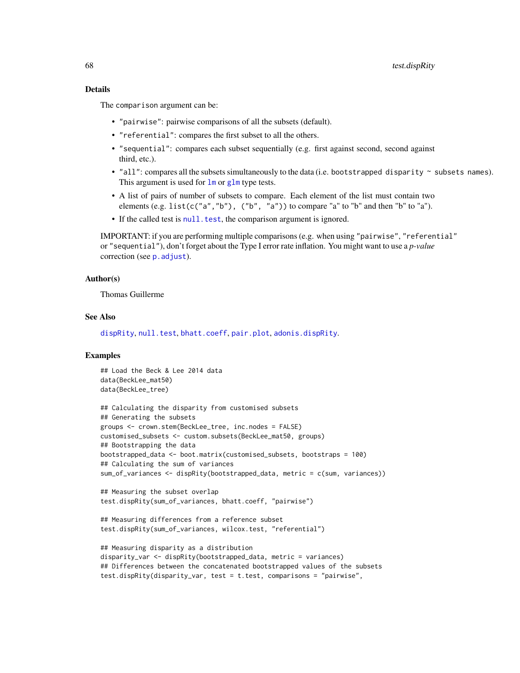## <span id="page-67-0"></span>Details

The comparison argument can be:

- "pairwise": pairwise comparisons of all the subsets (default).
- "referential": compares the first subset to all the others.
- "sequential": compares each subset sequentially (e.g. first against second, second against third, etc.).
- "all": compares all the subsets simultaneously to the data (i.e. bootstrapped disparity  $\sim$  subsets names). This argument is used for  $\text{Im}$  or  $\text{glm}$  $\text{glm}$  $\text{glm}$  type tests.
- A list of pairs of number of subsets to compare. Each element of the list must contain two elements  $(e.g. list(c("a", "b"), ("b", "a"))$  to compare "a" to "b" and then "b" to "a").
- If the called test is [null.test](#page-49-0), the comparison argument is ignored.

IMPORTANT: if you are performing multiple comparisons (e.g. when using "pairwise", "referential" or "sequential"), don't forget about the Type I error rate inflation. You might want to use a *p-value* correction (see [p.adjust](#page-0-0)).

## Author(s)

Thomas Guillerme

## See Also

[dispRity](#page-21-0), [null.test](#page-49-0), [bhatt.coeff](#page-7-0), [pair.plot](#page-50-0), [adonis.dispRity](#page-2-0).

```
## Load the Beck & Lee 2014 data
data(BeckLee_mat50)
data(BeckLee_tree)
```

```
## Calculating the disparity from customised subsets
## Generating the subsets
groups <- crown.stem(BeckLee_tree, inc.nodes = FALSE)
customised_subsets <- custom.subsets(BeckLee_mat50, groups)
## Bootstrapping the data
bootstrapped_data <- boot.matrix(customised_subsets, bootstraps = 100)
## Calculating the sum of variances
sum_of_variances <- dispRity(bootstrapped_data, metric = c(sum, variances))
```

```
## Measuring the subset overlap
test.dispRity(sum_of_variances, bhatt.coeff, "pairwise")
```

```
## Measuring differences from a reference subset
test.dispRity(sum_of_variances, wilcox.test, "referential")
```

```
## Measuring disparity as a distribution
disparity_var <- dispRity(bootstrapped_data, metric = variances)
## Differences between the concatenated bootstrapped values of the subsets
test.dispRity(disparity_var, test = t.test, comparisons = "pairwise",
```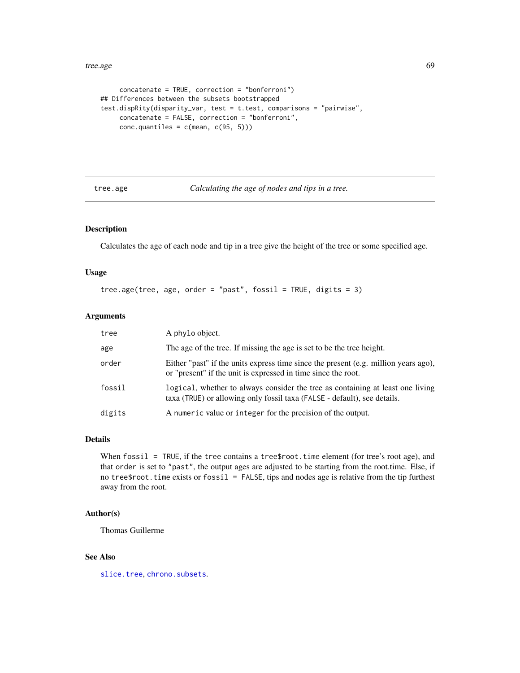#### <span id="page-68-0"></span>tree.age 69

```
concatenate = TRUE, correction = "bonferroni")
## Differences between the subsets bootstrapped
test.dispRity(disparity_var, test = t.test, comparisons = "pairwise",
    concatenate = FALSE, correction = "bonferroni",
    conc.quantiles = c(mean, c(95, 5)))
```
#### tree.age *Calculating the age of nodes and tips in a tree.*

## Description

Calculates the age of each node and tip in a tree give the height of the tree or some specified age.

#### Usage

```
tree.age(tree, age, order = "past", fossil = TRUE, digits = 3)
```
#### Arguments

| tree   | A phylo object.                                                                                                                                            |
|--------|------------------------------------------------------------------------------------------------------------------------------------------------------------|
| age    | The age of the tree. If missing the age is set to be the tree height.                                                                                      |
| order  | Either "past" if the units express time since the present (e.g. million years ago),<br>or "present" if the unit is expressed in time since the root.       |
| fossil | logical, whether to always consider the tree as containing at least one living<br>taxa (TRUE) or allowing only fossil taxa (FALSE - default), see details. |
| digits | A numeric value or integer for the precision of the output.                                                                                                |

## Details

When  $f$ ossil = TRUE, if the tree contains a tree\$root.time element (for tree's root age), and that order is set to "past", the output ages are adjusted to be starting from the root.time. Else, if no tree\$root.time exists or fossil = FALSE, tips and nodes age is relative from the tip furthest away from the root.

## Author(s)

Thomas Guillerme

## See Also

[slice.tree](#page-61-0), [chrono.subsets](#page-12-0).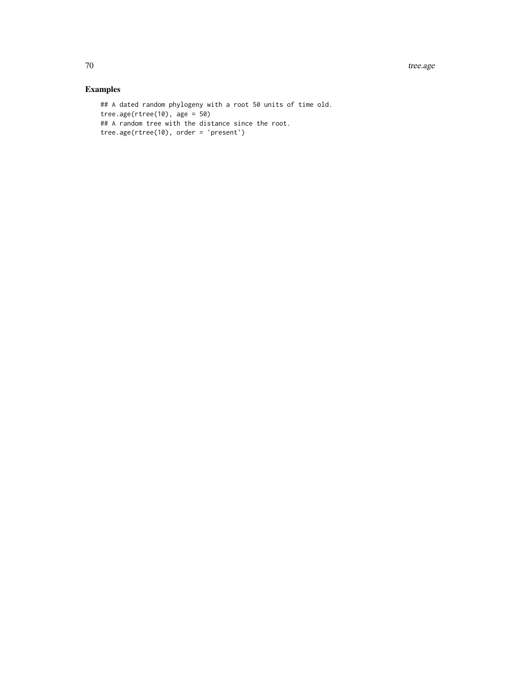```
## A dated random phylogeny with a root 50 units of time old.
tree.age(rtree(10), age = 50)
## A random tree with the distance since the root.
tree.age(rtree(10), order = 'present')
```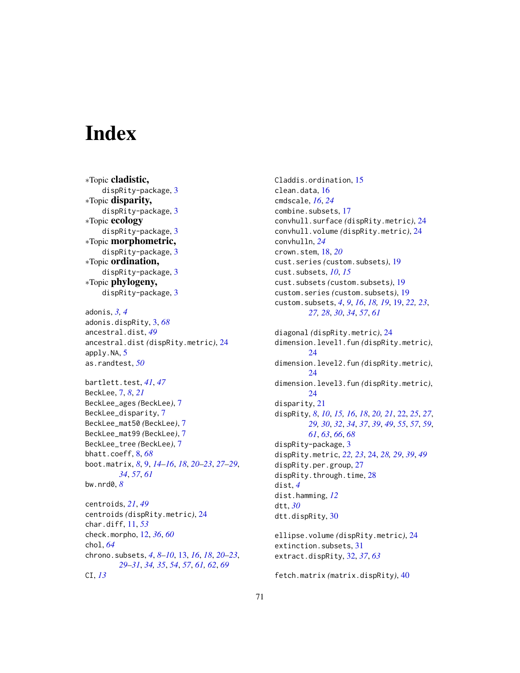# **Index**

∗Topic cladistic, dispRity-package, [3](#page-2-1) ∗Topic disparity, dispRity-package, [3](#page-2-1) ∗Topic ecology dispRity-package, [3](#page-2-1) ∗Topic morphometric, dispRity-package, [3](#page-2-1) ∗Topic ordination, dispRity-package, [3](#page-2-1) ∗Topic phylogeny, dispRity-package, [3](#page-2-1)

```
adonis, 3, 4
adonis.dispRity, 3, 68
ancestral.dist, 49
ancestral.dist (dispRity.metric), 24
apply.NA, 5
as.randtest, 50
```

```
bartlett.test, 41, 47
BeckLee, 7, 8, 21
BeckLee_ages (BeckLee), 7
BeckLee_disparity, 7
BeckLee_mat50 (BeckLee), 7
BeckLee_mat99 (BeckLee), 7
BeckLee_tree (BeckLee), 7
bhatt.coeff, 8, 68
boot.matrix, 8, 9, 14–16, 18, 20–23, 27–29,
        34, 57, 61
bw.nrd0, 8
```
centroids, *[21](#page-20-0)*, *[49](#page-48-0)* centroids *(*dispRity.metric*)*, [24](#page-23-2) char.diff, [11,](#page-10-1) *[53](#page-52-0)* check.morpho, [12,](#page-11-1) *[36](#page-35-0)*, *[60](#page-59-0)* chol, *[64](#page-63-1)* chrono.subsets, *[4](#page-3-0)*, *[8](#page-7-1)[–10](#page-9-0)*, [13,](#page-12-1) *[16](#page-15-0)*, *[18](#page-17-0)*, *[20–](#page-19-0)[23](#page-22-0)*, *[29](#page-28-0)[–31](#page-30-0)*, *[34,](#page-33-0) [35](#page-34-0)*, *[54](#page-53-1)*, *[57](#page-56-0)*, *[61,](#page-60-0) [62](#page-61-1)*, *[69](#page-68-0)* CI, *[13](#page-12-1)*

Claddis.ordination, [15](#page-14-0) clean.data, [16](#page-15-0) cmdscale, *[16](#page-15-0)*, *[24](#page-23-2)* combine.subsets, [17](#page-16-0) convhull.surface *(*dispRity.metric*)*, [24](#page-23-2) convhull.volume *(*dispRity.metric*)*, [24](#page-23-2) convhulln, *[24](#page-23-2)* crown.stem, [18,](#page-17-0) *[20](#page-19-0)* cust.series *(*custom.subsets*)*, [19](#page-18-1) cust.subsets, *[10](#page-9-0)*, *[15](#page-14-0)* cust.subsets *(*custom.subsets*)*, [19](#page-18-1) custom.series *(*custom.subsets*)*, [19](#page-18-1) custom.subsets, *[4](#page-3-0)*, *[9](#page-8-1)*, *[16](#page-15-0)*, *[18,](#page-17-0) [19](#page-18-1)*, [19,](#page-18-1) *[22,](#page-21-1) [23](#page-22-0)*, *[27,](#page-26-0) [28](#page-27-0)*, *[30](#page-29-0)*, *[34](#page-33-0)*, *[57](#page-56-0)*, *[61](#page-60-0)*

```
diagonal (dispRity.metric), 24
dimension.level1.fun (dispRity.metric),
        24
dimension.level2.fun (dispRity.metric),
        24
dimension.level3.fun (dispRity.metric),
        24
disparity, 21
dispRity, 8, 10, 15, 16, 18, 20, 21, 22, 25, 27,
        29, 30, 32, 34, 37, 39, 49, 55, 57, 59,
        61, 63, 66, 68
dispRity-package, 3
dispRity.metric, 22, 23, 24, 28, 29, 39, 49
dispRity.per.group, 27
28
dist, 4
dist.hamming, 12
dtt, 30
dtt.dispRity, 30
```
ellipse.volume *(*dispRity.metric*)*, [24](#page-23-2) extinction.subsets, [31](#page-30-0) extract.dispRity, [32,](#page-31-1) *[37](#page-36-1)*, *[63](#page-62-0)*

fetch.matrix *(*matrix.dispRity*)*, [40](#page-39-0)